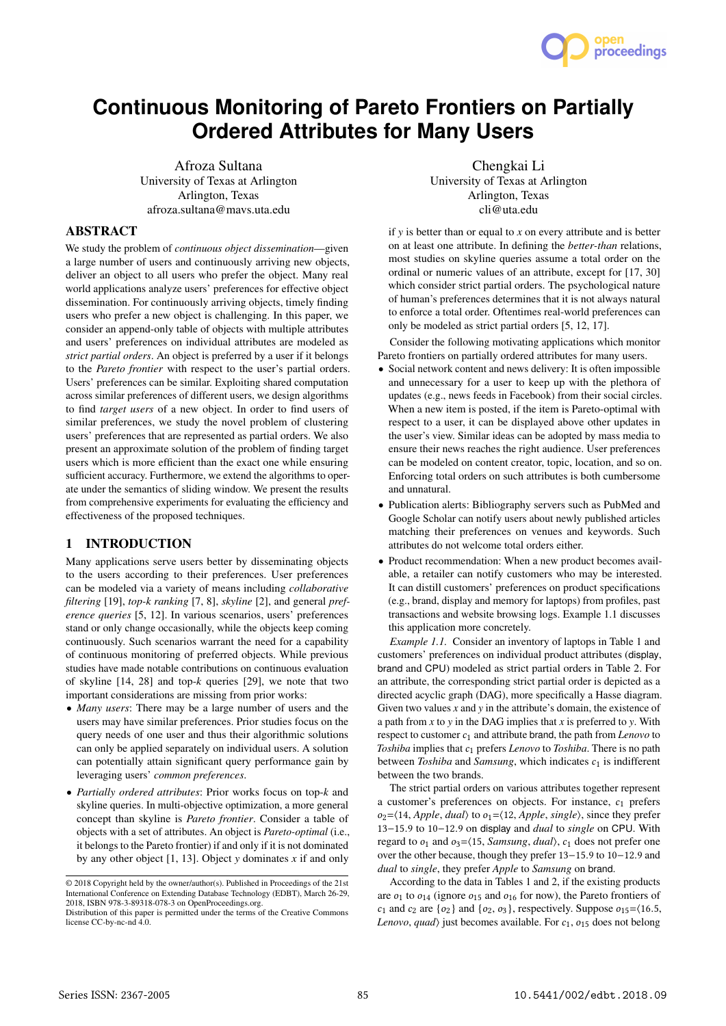Afroza Sultana University of Texas at Arlington Arlington, Texas afroza.sultana@mavs.uta.edu

**Continuous Monitoring of Pareto Frontiers on Partially Ordered Attributes for Many Users**

#### ABSTRACT

We study the problem of *continuous object dissemination*—given a large number of users and continuously arriving new objects, deliver an object to all users who prefer the object. Many real world applications analyze users' preferences for effective object dissemination. For continuously arriving objects, timely finding users who prefer a new object is challenging. In this paper, we consider an append-only table of objects with multiple attributes and users' preferences on individual attributes are modeled as *strict partial orders*. An object is preferred by a user if it belongs to the *Pareto frontier* with respect to the user's partial orders. Users' preferences can be similar. Exploiting shared computation across similar preferences of different users, we design algorithms to find *target users* of a new object. In order to find users of similar preferences, we study the novel problem of clustering users' preferences that are represented as partial orders. We also present an approximate solution of the problem of finding target users which is more efficient than the exact one while ensuring sufficient accuracy. Furthermore, we extend the algorithms to operate under the semantics of sliding window. We present the results from comprehensive experiments for evaluating the efficiency and effectiveness of the proposed techniques.

## 1 INTRODUCTION

Many applications serve users better by disseminating objects to the users according to their preferences. User preferences can be modeled via a variety of means including *collaborative filtering* [19], *top-k ranking* [7, 8], *skyline* [2], and general *preference queries* [5, 12]. In various scenarios, users' preferences stand or only change occasionally, while the objects keep coming continuously. Such scenarios warrant the need for a capability of continuous monitoring of preferred objects. While previous studies have made notable contributions on continuous evaluation of skyline [14, 28] and top-*k* queries [29], we note that two important considerations are missing from prior works:

- *Many users*: There may be a large number of users and the users may have similar preferences. Prior studies focus on the query needs of one user and thus their algorithmic solutions can only be applied separately on individual users. A solution can potentially attain significant query performance gain by leveraging users' *common preferences*.
- *Partially ordered attributes*: Prior works focus on top-*k* and skyline queries. In multi-objective optimization, a more general concept than skyline is *Pareto frontier*. Consider a table of objects with a set of attributes. An object is *Pareto-optimal* (i.e., it belongs to the Pareto frontier) if and only if it is not dominated by any other object [1, 13]. Object *y* dominates *x* if and only

Chengkai Li University of Texas at Arlington Arlington, Texas cli@uta.edu

if *y* is better than or equal to *x* on every attribute and is better on at least one attribute. In defining the *better-than* relations, most studies on skyline queries assume a total order on the ordinal or numeric values of an attribute, except for [17, 30] which consider strict partial orders. The psychological nature of human's preferences determines that it is not always natural to enforce a total order. Oftentimes real-world preferences can only be modeled as strict partial orders [5, 12, 17].

Consider the following motivating applications which monitor Pareto frontiers on partially ordered attributes for many users.

- Social network content and news delivery: It is often impossible and unnecessary for a user to keep up with the plethora of updates (e.g., news feeds in Facebook) from their social circles. When a new item is posted, if the item is Pareto-optimal with respect to a user, it can be displayed above other updates in the user's view. Similar ideas can be adopted by mass media to ensure their news reaches the right audience. User preferences can be modeled on content creator, topic, location, and so on. Enforcing total orders on such attributes is both cumbersome and unnatural.
- Publication alerts: Bibliography servers such as PubMed and Google Scholar can notify users about newly published articles matching their preferences on venues and keywords. Such attributes do not welcome total orders either.
- Product recommendation: When a new product becomes available, a retailer can notify customers who may be interested. It can distill customers' preferences on product specifications (e.g., brand, display and memory for laptops) from profiles, past transactions and website browsing logs. Example 1.1 discusses this application more concretely.

*Example 1.1.* Consider an inventory of laptops in Table 1 and customers' preferences on individual product attributes (display, brand and CPU) modeled as strict partial orders in Table 2. For an attribute, the corresponding strict partial order is depicted as a directed acyclic graph (DAG), more specifically a Hasse diagram. Given two values *x* and *y* in the attribute's domain, the existence of a path from *x* to *y* in the DAG implies that *x* is preferred to *y*. With respect to customer  $c_1$  and attribute brand, the path from *Lenovo* to *Toshiba* implies that  $c_1$  prefers *Lenovo* to *Toshiba*. There is no path between *Toshiba* and *Samsung*, which indicates  $c_1$  is indifferent between the two brands.

The strict partial orders on various attributes together represent a customer's preferences on objects. For instance,  $c_1$  prefers  $o_2 = \langle 14, Apple, dual \rangle$  to  $o_1 = \langle 12, Apple, single \rangle$ , since they prefer <sup>13</sup>−15.<sup>9</sup> to <sup>10</sup>−12.<sup>9</sup> on display and *dual* to *single* on CPU. With regard to  $o_1$  and  $o_3 = \langle 15, \text{Samsung}, \text{dual} \rangle$ ,  $c_1$  does not prefer one over the other because, though they prefer <sup>13</sup>−15.<sup>9</sup> to <sup>10</sup>−12.<sup>9</sup> and *dual* to *single*, they prefer *Apple* to *Samsung* on brand.

According to the data in Tables 1 and 2, if the existing products are  $o_1$  to  $o_{14}$  (ignore  $o_{15}$  and  $o_{16}$  for now), the Pareto frontiers of  $c_1$  and  $c_2$  are  $\{o_2\}$  and  $\{o_2, o_3\}$ , respectively. Suppose  $o_1$ <sub>5</sub>= $\langle 16.5,$ *Lenovo*, *quad* $\rangle$  just becomes available. For  $c_1$ ,  $o_{15}$  does not belong



<sup>©</sup> 2018 Copyright held by the owner/author(s). Published in Proceedings of the 21st International Conference on Extending Database Technology (EDBT), March 26-29, 2018, ISBN 978-3-89318-078-3 on OpenProceedings.org.

Distribution of this paper is permitted under the terms of the Creative Commons license CC-by-nc-nd 4.0.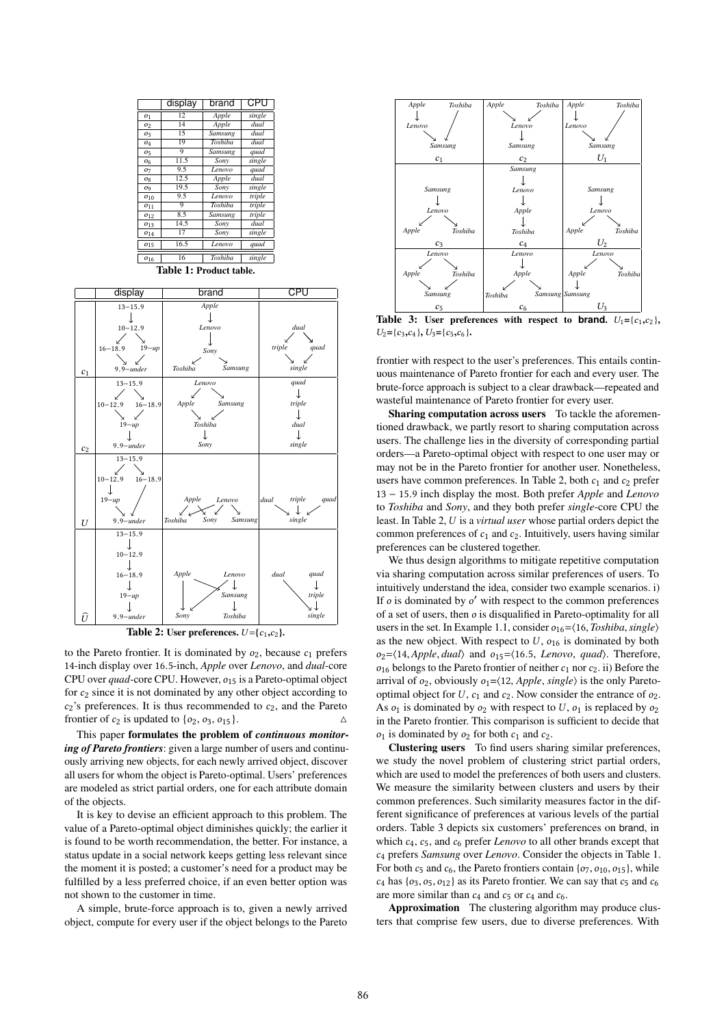



Table 2: User preferences.  $U = \{c_1, c_2\}$ .

to the Pareto frontier. It is dominated by  $o_2$ , because  $c_1$  prefers <sup>14</sup>-inch display over <sup>16</sup>.5-inch, *Apple* over *Lenovo*, and *dual*-core CPU over *quad*-core CPU. However,  $o_{15}$  is a Pareto-optimal object for <sup>c</sup><sup>2</sup> since it is not dominated by any other object according to  $c_2$ 's preferences. It is thus recommended to  $c_2$ , and the Pareto frontier of  $c_2$  is undated to  $\{o_2, o_3, o_{15}\}$ . frontier of  $c_2$  is updated to  $\{o_2, o_3, o_{15}\}.$ 

This paper formulates the problem of *continuous monitoring of Pareto frontiers*: given a large number of users and continuously arriving new objects, for each newly arrived object, discover all users for whom the object is Pareto-optimal. Users' preferences are modeled as strict partial orders, one for each attribute domain of the objects.

It is key to devise an efficient approach to this problem. The value of a Pareto-optimal object diminishes quickly; the earlier it is found to be worth recommendation, the better. For instance, a status update in a social network keeps getting less relevant since the moment it is posted; a customer's need for a product may be fulfilled by a less preferred choice, if an even better option was not shown to the customer in time.

A simple, brute-force approach is to, given a newly arrived object, compute for every user if the object belongs to the Pareto



**Table 3:** User preferences with respect to **brand**.  $U_1 = \{c_1, c_2\}$ ,  $U_2 = \{c_1, c_2\}$ ,  $U_3 = \{c_2, c_3\}$  $U_2 = \{c_3,c_4\}, U_3 = \{c_5,c_6\}.$ 

frontier with respect to the user's preferences. This entails continuous maintenance of Pareto frontier for each and every user. The brute-force approach is subject to a clear drawback—repeated and wasteful maintenance of Pareto frontier for every user.

Sharing computation across users To tackle the aforementioned drawback, we partly resort to sharing computation across users. The challenge lies in the diversity of corresponding partial orders—a Pareto-optimal object with respect to one user may or may not be in the Pareto frontier for another user. Nonetheless, users have common preferences. In Table 2, both  $c_1$  and  $c_2$  prefer <sup>13</sup> <sup>−</sup> <sup>15</sup>.<sup>9</sup> inch display the most. Both prefer *Apple* and *Lenovo* to *Toshiba* and *Sony*, and they both prefer *single*-core CPU the least. In Table 2, U is a *virtual user* whose partial orders depict the common preferences of  $c_1$  and  $c_2$ . Intuitively, users having similar preferences can be clustered together.

We thus design algorithms to mitigate repetitive computation via sharing computation across similar preferences of users. To intuitively understand the idea, consider two example scenarios. i) If  $o$  is dominated by  $o'$  with respect to the common preferences<br>of a set of users, then  $o$  is discuratified in Pareto-optimality for all of a set of users, then  $o$  is disqualified in Pareto-optimality for all users in the set. In Example 1.1, consider  $o_{16} = \langle 16, Toshiba, single \rangle$ as the new object. With respect to  $U$ ,  $o_{16}$  is dominated by both o2=⟨14, *Apple*, *dual*⟩ and o15=⟨16.5, *Lenovo*, *quad*⟩. Therefore,  $o_{16}$  belongs to the Pareto frontier of neither  $c_1$  nor  $c_2$ . ii) Before the arrival of  $o_2$ , obviously  $o_1 = \langle 12, Apple, single \rangle$  is the only Paretooptimal object for  $U$ ,  $c_1$  and  $c_2$ . Now consider the entrance of  $o_2$ . As  $o_1$  is dominated by  $o_2$  with respect to U,  $o_1$  is replaced by  $o_2$ in the Pareto frontier. This comparison is sufficient to decide that  $o_1$  is dominated by  $o_2$  for both  $c_1$  and  $c_2$ .

Clustering users To find users sharing similar preferences, we study the novel problem of clustering strict partial orders, which are used to model the preferences of both users and clusters. We measure the similarity between clusters and users by their common preferences. Such similarity measures factor in the different significance of preferences at various levels of the partial orders. Table 3 depicts six customers' preferences on brand, in which  $c_4$ ,  $c_5$ , and  $c_6$  prefer *Lenovo* to all other brands except that <sup>c</sup><sup>4</sup> prefers *Samsung* over *Lenovo*. Consider the objects in Table 1. For both  $c_5$  and  $c_6$ , the Pareto frontiers contain  $\{o_7, o_{10}, o_{15}\}$ , while  $c_4$  has  $\{o_3, o_5, o_{12}\}$  as its Pareto frontier. We can say that  $c_5$  and  $c_6$ are more similar than  $c_4$  and  $c_5$  or  $c_4$  and  $c_6$ .

Approximation The clustering algorithm may produce clusters that comprise few users, due to diverse preferences. With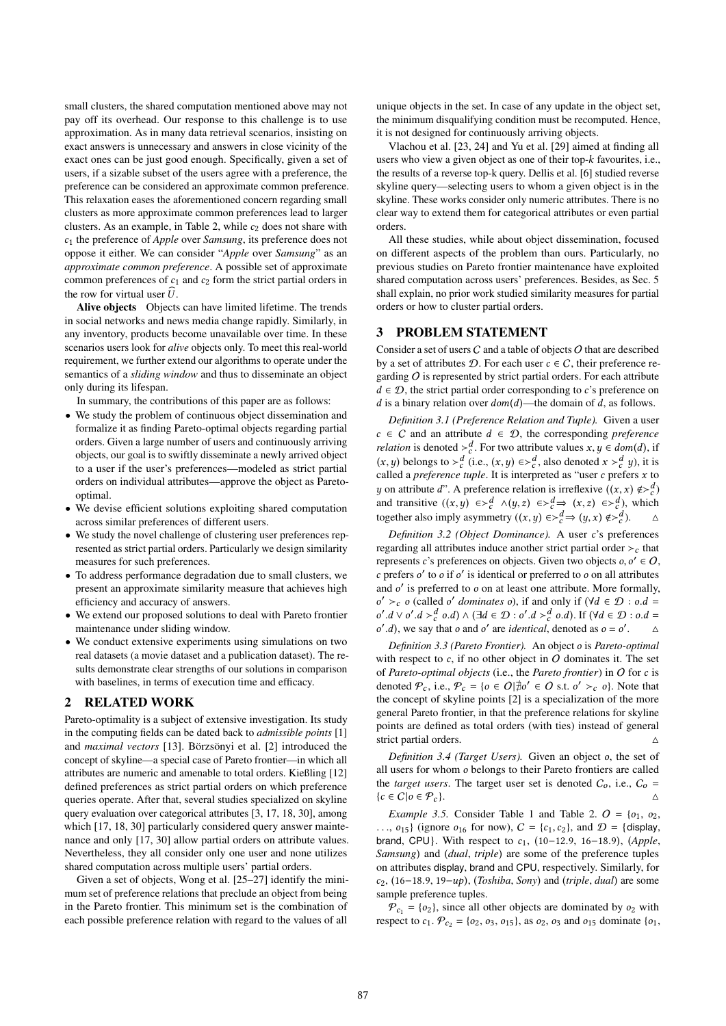small clusters, the shared computation mentioned above may not pay off its overhead. Our response to this challenge is to use approximation. As in many data retrieval scenarios, insisting on exact answers is unnecessary and answers in close vicinity of the exact ones can be just good enough. Specifically, given a set of users, if a sizable subset of the users agree with a preference, the preference can be considered an approximate common preference. This relaxation eases the aforementioned concern regarding small clusters as more approximate common preferences lead to larger clusters. As an example, in Table 2, while  $c_2$  does not share with <sup>c</sup><sup>1</sup> the preference of *Apple* over *Samsung*, its preference does not oppose it either. We can consider "*Apple* over *Samsung*" as an *approximate common preference*. A possible set of approximate common preferences of  $c_1$  and  $c_2$  form the strict partial orders in the row for virtual user  $\hat{U}$ .

Alive objects Objects can have limited lifetime. The trends in social networks and news media change rapidly. Similarly, in any inventory, products become unavailable over time. In these scenarios users look for *alive* objects only. To meet this real-world requirement, we further extend our algorithms to operate under the semantics of a *sliding window* and thus to disseminate an object only during its lifespan.

In summary, the contributions of this paper are as follows:

- We study the problem of continuous object dissemination and formalize it as finding Pareto-optimal objects regarding partial orders. Given a large number of users and continuously arriving objects, our goal is to swiftly disseminate a newly arrived object to a user if the user's preferences—modeled as strict partial orders on individual attributes—approve the object as Paretooptimal.
- We devise efficient solutions exploiting shared computation across similar preferences of different users.
- We study the novel challenge of clustering user preferences represented as strict partial orders. Particularly we design similarity measures for such preferences.
- To address performance degradation due to small clusters, we present an approximate similarity measure that achieves high efficiency and accuracy of answers.
- We extend our proposed solutions to deal with Pareto frontier maintenance under sliding window.
- We conduct extensive experiments using simulations on two real datasets (a movie dataset and a publication dataset). The results demonstrate clear strengths of our solutions in comparison with baselines, in terms of execution time and efficacy.

#### 2 RELATED WORK

Pareto-optimality is a subject of extensive investigation. Its study in the computing fields can be dated back to *admissible points* [1] and *maximal vectors* [13]. Börzsönyi et al. [2] introduced the concept of skyline—a special case of Pareto frontier—in which all attributes are numeric and amenable to total orders. Kießling [12] defined preferences as strict partial orders on which preference queries operate. After that, several studies specialized on skyline query evaluation over categorical attributes [3, 17, 18, 30], among which [17, 18, 30] particularly considered query answer maintenance and only [17, 30] allow partial orders on attribute values. Nevertheless, they all consider only one user and none utilizes shared computation across multiple users' partial orders.

Given a set of objects, Wong et al. [25–27] identify the minimum set of preference relations that preclude an object from being in the Pareto frontier. This minimum set is the combination of each possible preference relation with regard to the values of all unique objects in the set. In case of any update in the object set, the minimum disqualifying condition must be recomputed. Hence, it is not designed for continuously arriving objects.

Vlachou et al. [23, 24] and Yu et al. [29] aimed at finding all users who view a given object as one of their top-k favourites, i.e., the results of a reverse top-k query. Dellis et al. [6] studied reverse skyline query—selecting users to whom a given object is in the skyline. These works consider only numeric attributes. There is no clear way to extend them for categorical attributes or even partial orders.

All these studies, while about object dissemination, focused on different aspects of the problem than ours. Particularly, no previous studies on Pareto frontier maintenance have exploited shared computation across users' preferences. Besides, as Sec. 5 shall explain, no prior work studied similarity measures for partial orders or how to cluster partial orders.

#### 3 PROBLEM STATEMENT

Consider a set of users  $C$  and a table of objects  $O$  that are described by a set of attributes  $D$ . For each user  $c \in C$ , their preference regarding  $O$  is represented by strict partial orders. For each attribute  $d \in \mathcal{D}$ , the strict partial order corresponding to c's preference on d is a binary relation over  $dom(d)$ —the domain of d, as follows.

*Definition 3.1 (Preference Relation and Tuple).* Given a user  $c \in C$  and an attribute  $d \in D$ , the corresponding *preference relation* is denoted ≻<sup>d</sup><sub>c</sub>. For two attribute values x, y ∈ dom(d), if  $(x, y)$  belongs to  $\lambda$  d<sub>c</sub>  $(y, y)$  c  $\lambda$  d also denoted  $x \lambda$  d  $y$ ), it is (x, y) belongs to ≻ d (i.e.,  $(x, y) \in >_d^d$ , also denoted  $x >_d^d y$ ), it is called a *preference tuple*. It is interpreted as "user c prefers x to called a *preference tuple*. It is interpreted as "user c prefers x to  $u$  on attribute d". A preference relation is irreflexive  $((x, x) \notin S^d)$ y on attribute d". A preference relation is irreflexive  $((x, x) \notin \geq^d_a)$ <br>and transitive  $((x, y) \in \geq^d_a)$  (y z)  $\in \leq^d_a$ ) which and transitive  $((x, y) \in \geq_c^d \land (y, z) \in \geq_c^d \Rightarrow (x, z) \in \geq_c^d)$ , which<br>together also imply asymmetry  $((x, y) \in \geq_c^d \Rightarrow (y, x) \notin \geq_c^d)$ . together also imply asymmetry  $((x, y) \in >_c^d \Rightarrow (y, x) \notin >_c^d)$ . △

*Definition 3.2 (Object Dominance).* A user c's preferences regarding all attributes induce another strict partial order  $\gt_c$  that represents c's preferences on objects. Given two objects  $o, o' \in O$ ,<br>c prefers c' to o if c' is identical or preferred to o on all attributes c prefers o' to  $\theta$  if  $\theta'$  is identical or preferred to  $\theta$  on all attributes and  $\theta'$  is preferred to  $\theta$  on at least one attribute. More formally and o' is preferred to o on at least one attribute. More formally,<br> $a' > a$  (called o' dominates o) if and only if  $(\forall d \in \mathcal{D} : a d$ . o'.d  $\vee$  o'.d  $>$  d'o.d)  $\wedge$  (∃d ∈ D : o'.d  $>$  d'o.d). If ( $\forall$ d ∈ D : o.d = o' d) we say that a and o' are identical denoted as  $a = a'$  $\alpha' > c$  o (called o' *dominates* o), if and only if ( $\forall d \in \mathcal{D} : o.d = \alpha' d \vee \alpha' d \vee d' d \wedge d \wedge d' d \wedge d' d \wedge d' d \wedge d' d \wedge d' d \wedge d' d \wedge d' d \wedge d' d \wedge d' d \wedge d' d \wedge d' d \wedge d' d \wedge d' d \wedge d' d \wedge d' d \wedge d' d \wedge d' d \wedge d' d \wedge d' d \wedge d' d \wedge d' d \wedge d$  $\alpha'$  d) we say that o and o' are identical '.d), we say that *o* and *o'* are *identical*, denoted as  $o = o'$ .  $\triangle$ 

*Definition 3.3 (Pareto Frontier).* An object o is *Pareto-optimal* with respect to  $c$ , if no other object in  $O$  dominates it. The set of *Pareto-optimal objects* (i.e., the *Pareto frontier*) in <sup>O</sup> for c is denoted  $\mathcal{P}_c$ , i.e.,  $\mathcal{P}_c = \{o \in \mathcal{O} | \nexists o' \in \mathcal{O} \text{ s.t. } o' >_c o\}$ . Note that the concent of skyling points [2] is a specialization of the more the concept of skyline points [2] is a specialization of the more general Pareto frontier, in that the preference relations for skyline points are defined as total orders (with ties) instead of general strict partial orders.

*Definition 3.4 (Target Users).* Given an object o, the set of all users for whom o belongs to their Pareto frontiers are called the *target users*. The target user set is denoted  $C_0$ , i.e.,  $C_0 = {c \in C | o \in \mathcal{P}_c}$ .  ${c \in C | o \in \mathcal{P}_c}.$ <sup>△</sup>

*Example 3.5.* Consider Table 1 and Table 2.  $O = \{o_1, o_2, o_3\}$  (ignore  $\alpha$ , for now)  $C = \{o_1, o_2\}$  and  $D = \{d | s_1, o_2\}$  $\ldots$ ,  $o_{15}$ } (ignore  $o_{16}$  for now),  $C = \{c_1, c_2\}$ , and  $D = \{$ display, brand, CPU}. With respect to c1, (10−12.9, <sup>16</sup>−18.9), (*Apple*, *Samsung*) and (*dual*, *triple*) are some of the preference tuples on attributes display, brand and CPU, respectively. Similarly, for c2, (16−18.9, <sup>19</sup>−up), (*Toshiba*, *Sony*) and (*triple*, *dual*) are some sample preference tuples.

 $P_{c_1} = \{o_2\}$ , since all other objects are dominated by  $o_2$  with respect to  $c_1$ .  $P_{c_2} = \{o_2, o_3, o_{15}\}$ , as  $o_2, o_3$  and  $o_{15}$  dominate  $\{o_1, o_2\}$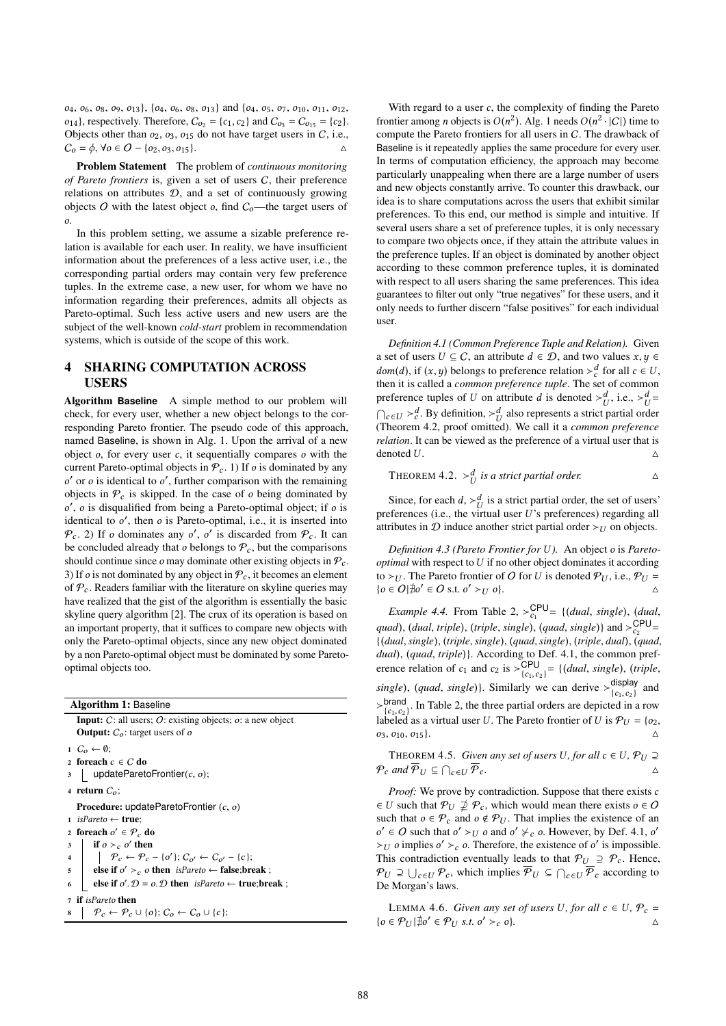$o_4$ ,  $o_6$ ,  $o_8$ ,  $o_9$ ,  $o_{13}$ ,  $\{o_4$ ,  $o_6$ ,  $o_8$ ,  $o_{13}$  and  $\{o_4$ ,  $o_5$ ,  $o_7$ ,  $o_{10}$ ,  $o_{11}$ ,  $o_{12}$ ,  $o_{14}$ , respectively. Therefore,  $C_{o_2} = \{c_1, c_2\}$  and  $C_{o_3} = C_{o_{15}} = \{c_2\}$ . Objects other than  $o_2$ ,  $o_3$ ,  $o_{15}$  do not have target users in C, i.e.,  $C_0 = \phi$ ,  $\forall o \in O - \{o_2, o_3, o_{15}\}.$ 

Problem Statement The problem of *continuous monitoring of Pareto frontiers* is, given a set of users C, their preference relations on attributes D, and a set of continuously growing objects  $O$  with the latest object  $o$ , find  $C<sub>o</sub>$ —the target users of o.

In this problem setting, we assume a sizable preference relation is available for each user. In reality, we have insufficient information about the preferences of a less active user, i.e., the corresponding partial orders may contain very few preference tuples. In the extreme case, a new user, for whom we have no information regarding their preferences, admits all objects as Pareto-optimal. Such less active users and new users are the subject of the well-known *cold-start* problem in recommendation systems, which is outside of the scope of this work.

### 4 SHARING COMPUTATION ACROSS USERS

Algorithm **Baseline** A simple method to our problem will check, for every user, whether a new object belongs to the corresponding Pareto frontier. The pseudo code of this approach, named Baseline, is shown in Alg. 1. Upon the arrival of a new object  $o$ , for every user  $c$ , it sequentially compares  $o$  with the current Pareto-optimal objects in  $P_c$ . 1) If o is dominated by any objects in  $P_c$  is skipped. In the case of o being dominated by  $\rho'$  o is discussified from being a Pareto optimal object: if o is ' or *o* is identical to *o'*, further comparison with the remaining<br>biects in  $\mathcal{P}$  is skinned. In the case of a being dominated by identical to o', then o is Pareto-optimal, i.e., it is inserted into  $\varphi$  2). If a dominates any o' o' is discarded from  $\varphi$ . It can  $\gamma$ , *o* is disqualified from being a Pareto-optimal object; if *o* is dentical to  $\alpha'$ , then *o* is Pareto-optimal i.e., it is inserted into  $\mathcal{P}_c$ . 2) If *o* dominates any *o'*, *o'* is discarded from  $\mathcal{P}_c$ . It can<br>be concluded already that a belongs to  $\mathcal{P}_c$  but the comparisons be concluded already that  $o$  belongs to  $\mathcal{P}_c$ , but the comparisons should continue since  $\varrho$  may dominate other existing objects in  $\mathcal{P}_c$ . 3) If *o* is not dominated by any object in  $P_c$ , it becomes an element of  $P_c$ . Readers familiar with the literature on skyline queries may have realized that the gist of the algorithm is essentially the basic skyline query algorithm [2]. The crux of its operation is based on an important property, that it suffices to compare new objects with only the Pareto-optimal objects, since any new object dominated by a non Pareto-optimal object must be dominated by some Paretooptimal objects too.

Algorithm 1: Baseline Input: <sup>C</sup>: all users; <sup>O</sup>: existing objects; o: a new object **Output:**  $C<sub>o</sub>$ : target users of  $o$ 1  $C_o \leftarrow \emptyset;$ <sup>2</sup> foreach c ∈ C do  $\Box$  updateParetoFrontier( $c, o$ ); 4 return  $C_0$ ; Procedure: updateParetoFrontier  $(c, o)$ <sup>1</sup> isPareto ← true; 2 foreach  $o' \in \mathcal{P}_c$  do<br>2 if  $o \geq o'$  then  $\begin{array}{c|c}\n3 & \text{if } o \geq_c o' \text{ then} \\
1 & \text{if } o \neq o\n\end{array}$ 4  $\bigcap_{c \in \mathcal{P}_c} \mathcal{P}_c - \{o'\}; C_{o'} \leftarrow C_{o'} - \{c\};$ s else if  $o' >_c o$  then isPareto ← false;break ;<br>closif  $o' =_c o$  then isParets (true hyper 6 **else if**  $o'. \mathcal{D} = o.\mathcal{D}$  then  $is Pareto \leftarrow true; break;$ <sup>7</sup> if isPareto then

$$
s \mid \mathcal{P}_c \leftarrow \mathcal{P}_c \cup \{o\}; C_o \leftarrow C_o \cup \{c\};
$$

With regard to a user  $c$ , the complexity of finding the Pareto frontier among *n* objects is  $O(n^2)$ . Alg. 1 needs  $O(n^2 \cdot |C|)$  time to compute the Pareto frontiers for all users in *C*. The drawback of compute the Pareto frontiers for all users in C. The drawback of Baseline is it repeatedly applies the same procedure for every user. In terms of computation efficiency, the approach may become particularly unappealing when there are a large number of users and new objects constantly arrive. To counter this drawback, our idea is to share computations across the users that exhibit similar preferences. To this end, our method is simple and intuitive. If several users share a set of preference tuples, it is only necessary to compare two objects once, if they attain the attribute values in the preference tuples. If an object is dominated by another object according to these common preference tuples, it is dominated with respect to all users sharing the same preferences. This idea guarantees to filter out only "true negatives" for these users, and it only needs to further discern "false positives" for each individual user.

*Definition 4.1 (Common Preference Tuple and Relation).* Given a set of users  $U \subseteq C$ , an attribute  $d \in \mathcal{D}$ , and two values  $x, y \in$  $dom(d)$ , if  $(x, y)$  belongs to preference relation  $\succ_c^d$  for all  $c \in U$ ,<br>then it is called a common preference tuple. The set of common then it is called a *common preference tuple*. The set of common preference tuples of U on attribute d is denoted ≻ $^d_U$ , i.e.,  $\gt^d_U =$  $\bigcap_{c \in U} >_{c}^{d}$ . By definition,  $>_{U}^{d}$  also represents a strict partial order (Theorem 4.2, proof omitted). We call it a *common preference relation*. It can be viewed as the preference of a virtual user that is denoted U.  $\triangle$ 

THEOREM 4.2. 
$$
\succ_U^d
$$
 is a strict partial order.  $\triangle$ 

Since, for each  $d$ ,  $>\frac{d}{U}$  is a strict partial order, the set of users'<br>of the set of user  $U$ 's preferences) regarding all preferences (i.e., the virtual user U's preferences) regarding all<br>attributes in  $\Omega$  induce another strict partial order  $\searrow$  to an objects attributes in  $D$  induce another strict partial order ≻ $U$  on objects.

*Definition 4.3 (Pareto Frontier for* U *).* An object o is *Paretooptimal* with respect to U if no other object dominates it according to ≻*U*. The Pareto frontier of *O* for *U* is denoted  $P_U$ , i.e.,  $P_U =$ <br> $\{o \in O | \exists o' \in O \text{ s.t } o' > U \}$ { $o \in O | \nexists o' \in O \text{ s.t. } o' >_U o$ }. △

*Example 4.4.* From Table 2,  $>E_{c_1}^{CPU} = \{(dual, single), (dual,$ quad), (*dual*, *triple*), (*triple*, *single*), (*quad*, *single*)} and  $>_{C_2}^{C_2}$ c2 {(*dual*,*single*), (*triple*,*single*), (*quad*,*single*), (*triple*, *dual*), (*quad*, *dual*), (*quad*, *triple*)}. According to Def. 4.1, the common preference relation of  $c_1$  and  $c_2$  is  $\geq {\sf CPU}_{\{c_1,c_2\}} = \{ (dual, single), (triple, 1) \}$  display *single*), (*quad*, *single*)}. Similarly we can derive  $>_{[c, c, c]}^{display}$ display and<br> ${c_1, c_2}$  and  $\geq_{c_1,c_2}^{\text{brand}}$ . In Table 2, the three partial orders are depicted in a row labeled as a virtual user *U*. The Pareto frontier of *U* is  $\mathcal{P}_{U} = \{o_2\}$ labeled as a virtual user U. The Pareto frontier of U is  $P_U = \{o_2, o_3, o_{10}, o_{15}\}\$ .  $o_3, o_{10}, o_{15}$ .  $\Delta$ 

THEOREM 4.5. *Given any set of users U, for all*  $c \in U$ ,  $\mathcal{P}_U \supseteq$ <br>and  $\overline{\mathcal{P}}_{\geq c} \cap \overline{\mathcal{P}}_{\geq 0}$  $\mathcal{P}_c$  and  $\mathcal{P}_U \subseteq \bigcap_{c \in U} \mathcal{P}_c$ .

*Proof:* We prove by contradiction. Suppose that there exists c  $\in U$  such that  $\mathcal{P}_U \nsubseteq \mathcal{P}_c$ , which would mean there exists  $o \in O$ such that  $o \in \mathcal{P}_c$  and  $o \notin \mathcal{P}_U$ . That implies the existence of an  $>$ U o implies o' > c o. Therefore, the existence of o' is impossible.<br>This contradiction eventually leads to that  $\Phi$ <sub>U</sub> ⊃  $\Phi$ . Hence  $\ell \in \mathcal{O}$  such that  $o' \succ_U o$  and  $o' \not\succ_C o$ . However, by Def. 4.1,  $o'$ <br>sy a implies  $o' > o$ . Therefore, the existence of  $o'$  is impossible This contradiction eventually leads to that  $\mathcal{P}_U \supseteq \mathcal{P}_c$ . Hence,  $\mathcal{P}_U \supseteq \bigcup_{c \in U} \mathcal{P}_c$ , which implies  $\mathcal{P}_U \subseteq \bigcap_{c \in U} \mathcal{P}_c$  according to De Morgan's laws De Morgan's laws.

LEMMA 4.6. *Given any set of users U, for all*  $c \in U$ ,  $P_c$  = { $o \in \mathcal{P}_U$  |∄ $o' \in \mathcal{P}_U$  *s.t.*  $o' >_c o$ *}.* △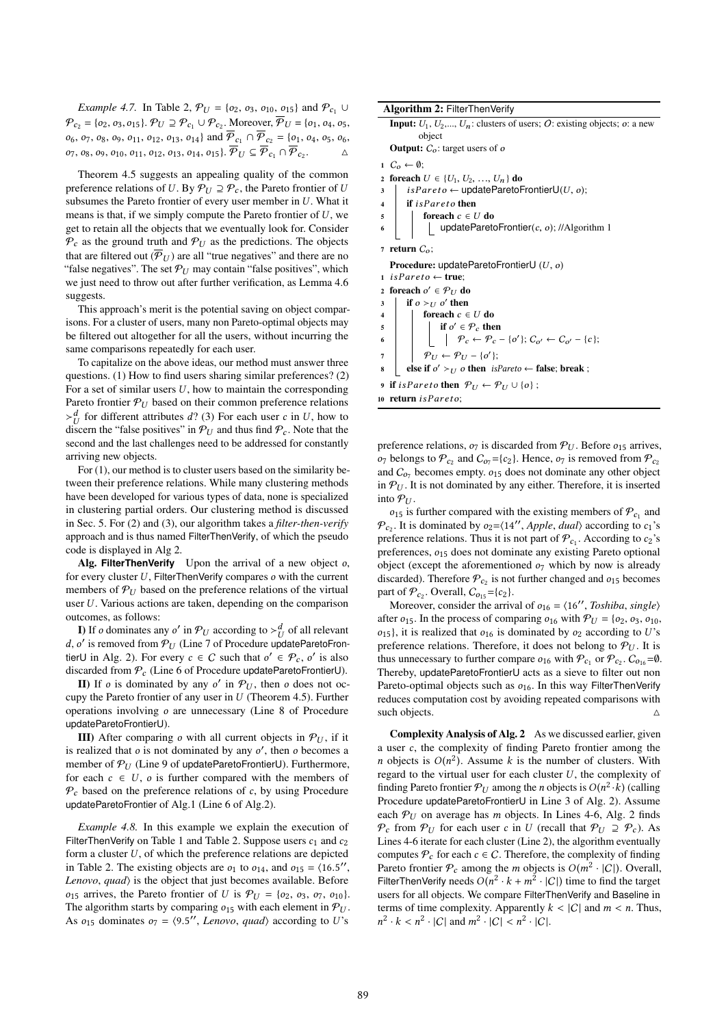*Example 4.7.* In Table 2,  $P_U = \{o_2, o_3, o_{10}, o_{15}\}$  and  $P_{c_1} \cup$  $\mathcal{P}_{c_2} = \{o_2, o_3, o_{15}\}\$ .  $\mathcal{P}_U \supseteq \mathcal{P}_{c_1} \cup \mathcal{P}_{c_2}$ . Moreover,  $\mathcal{P}_U = \{o_1, o_4, o_5\}$  $o_6$ ,  $o_7$ ,  $o_8$ ,  $o_9$ ,  $o_{11}$ ,  $o_{12}$ ,  $o_{13}$ ,  $o_{14}$  and  $\overline{\mathcal{P}}_{c_1} \cap \overline{\mathcal{P}}_{c_2} = \{o_1, o_4, o_5, o_6, o_7\}$  $o_7, o_8, o_9, o_{10}, o_{11}, o_{12}, o_{13}, o_{14}, o_{15}$ .  $P_U \subseteq P_{c_1} \cap P_{c_2}.$   $\Delta$ 

Theorem 4.5 suggests an appealing quality of the common preference relations of U. By  $P_U \supseteq P_c$ , the Pareto frontier of U subsumes the Pareto frontier of every user member in U. What it means is that, if we simply compute the Pareto frontier of  $U$ , we get to retain all the objects that we eventually look for. Consider  $\mathcal{P}_c$  as the ground truth and  $\mathcal{P}_U$  as the predictions. The objects that are filtered out  $(\overline{P}_U)$  are all "true negatives" and there are no "false negatives". The set  $P_U$  may contain "false positives", which we just need to throw out after further verification, as Lemma 4.6 suggests.

This approach's merit is the potential saving on object comparisons. For a cluster of users, many non Pareto-optimal objects may be filtered out altogether for all the users, without incurring the same comparisons repeatedly for each user.

To capitalize on the above ideas, our method must answer three questions. (1) How to find users sharing similar preferences? (2) For a set of similar users  $U$ , how to maintain the corresponding Pareto frontier  $P_U$  based on their common preference relations  $\succ_U^d$  for different attributes d? (3) For each user c in U, how to discern the "false positives" in  $\mathcal{P}_U$  and thus find  $\mathcal{P}$ . Note that the discern the "false positives" in  $P_U$  and thus find  $P_c$ . Note that the second and the last challenges need to be addressed for constantly second and the last challenges need to be addressed for constantly arriving new objects.

For (1), our method is to cluster users based on the similarity between their preference relations. While many clustering methods have been developed for various types of data, none is specialized in clustering partial orders. Our clustering method is discussed in Sec. 5. For (2) and (3), our algorithm takes a *filter-then-verify* approach and is thus named FilterThenVerify, of which the pseudo code is displayed in Alg 2.

Alg. **FilterThenVerify** Upon the arrival of a new object o, for every cluster  $U$ , FilterThenVerify compares  $o$  with the current members of  $P_U$  based on the preference relations of the virtual user  $U$ . Various actions are taken, depending on the comparison outcomes, as follows:

**I)** If *o* dominates any *o'* in  $\mathcal{P}_U$  according to  $>\frac{d}{U}$  of all relevant  $\alpha'$  is ramoved from  $\mathcal{P}_U$ . (I ins 7 of Procedure undate Parate From d, o' is removed from  $\mathcal{P}_U$  (Line 7 of Procedure updateParetoFrontier) in Alg. 2). For every  $c \in C$  such that  $c' \in \mathcal{P}_U$ , o' is also tierU in Alg. 2). For every  $c \in C$  such that  $o' \in \mathcal{P}_c$ ,  $o'$  is also<br>discarded from  $\mathcal{P}_c$ . (Line 6 of Procedure undate Pareto Frontier) discarded from  $P_c$  (Line 6 of Procedure updateParetoFrontierU).

**II**) If *o* is dominated by any *o'* in  $\mathcal{P}_U$ , then *o* does not oc-<br>py the Pareto frontier of any user in *U* (Theorem 4.5) Eurther cupy the Pareto frontier of any user in  $U$  (Theorem 4.5). Further operations involving o are unnecessary (Line 8 of Procedure updateParetoFrontierU).

III) After comparing o with all current objects in  $P_U$ , if it is realized that *o* is not dominated by any *o'*, then *o* becomes a<br>member of  $\mathcal{P}_{xx}$  (I ine 9 of undate Pareto Frontier) Lurthermore member of  $P_U$  (Line 9 of updateParetoFrontierU). Furthermore, for each  $c \in U$ ,  $o$  is further compared with the members of  $P_c$  based on the preference relations of c, by using Procedure updateParetoFrontier of Alg.1 (Line 6 of Alg.2).

*Example 4.8.* In this example we explain the execution of FilterThenVerify on Table 1 and Table 2. Suppose users  $c_1$  and  $c_2$ form a cluster  $U$ , of which the preference relations are depicted in Table 2. The existing objects are  $o_1$  to  $o_{14}$ , and  $o_{15} = \langle 16.5'' \rangle$ , *Lanova*, *quad* is the object that just becomes available. Before *Lenovo*, *quad*⟩ is the object that just becomes available. Before  $o_{15}$  arrives, the Pareto frontier of U is  $P_U = \{o_2, o_3, o_7, o_{10}\}.$ The algorithm starts by comparing  $o_{15}$  with each element in  $P_U$ . As  $o_{15}$  dominates  $o_7 = \langle 9.5''$ , *Lenovo*, *quad* $\rangle$  according to *U*'s

Algorithm 2: FilterThenVerify

```
Input: U_1, U_2, \ldots, U_n: clusters of users; O: existing objects; o: a new
        object
```
**Output:**  $C_o$ : target users of  $o$ 

 $1 \quad C_{\alpha} \leftarrow \emptyset$ 

2 foreach  $U \in \{U_1, U_2, ..., U_n\}$  do<br>3 | *isPareto* ← updateParetoF

3 isPareto ← updateParetoFrontierU(U, o);<br>4 if isPareto then

4 if is *Pareto* then<br>5 foreach  $c \in \mathbb{R}$ 

```
\begin{array}{c|c} 5 \\ 6 \end{array} foreach c \in U do<br> \begin{array}{c|c} \downarrow \end{array} updateParet
                               updateParetoFrontier(c, o); //Algorithm 1
```

```
7 return C<sub>o</sub>;
```
Procedure: updateParetoFrontierU (U, o)

```
1 is Pareto ← true;
```

```
2 foreach o' \in \mathcal{P}_U do
3 if o >_U o' then
```

```
4 foreach c \in U do<br>5 foreach c \in U do
 \begin{array}{c|c|c|c} 5 & \text{if } o' \in \mathcal{P}_c \text{ then} \end{array}
```
6  $\left| \left| \left| \left| \mathcal{P}_c \leftarrow \mathcal{P}_c - \{o'\}; C_{o'} \leftarrow C_{o'} - \{c\}; \right.\right|\right.\right|$ 

 $\mathcal{P}_U \leftarrow \mathcal{P}_U - \{o'\};$ 

8  $\bigcup$  else if *o'* >*U o* then *isPareto* ← false; break ;

9 if is Pareto then  $P_U \leftarrow P_U \cup \{o\}$ ;

10 return is Pareto;

preference relations,  $o_7$  is discarded from  $P_{U}$ . Before  $o_{15}$  arrives,  $o_7$  belongs to  $\mathcal{P}_{c_2}$  and  $C_{o_7}$ ={c<sub>2</sub>}. Hence,  $o_7$  is removed from  $\mathcal{P}_{c_2}$ <br>and C<sub>o</sub> becomes empty  $o_7$  does not dominate any other object and  $C_{07}$  becomes empty.  $o_{15}$  does not dominate any other object<br>in  $\mathcal{P}_{17}$ . It is not dominated by any either. Therefore, it is inserted in  $P_U$ . It is not dominated by any either. Therefore, it is inserted into  $P_U$ .

 $o_{15}$  is further compared with the existing members of  $\mathcal{P}_{c_1}$  and<br>It is dominated by  $\omega = (14)$  Ande dual according to  $\omega$  $\mathcal{P}_{c_2}$ . It is dominated by  $o_2 = \langle 14''$ , *Apple*, *dual* $\rangle$  according to  $c_1$ 's preference relations. Thus it is not part of  $\mathcal{P}_{c_1}$ . According to  $c_2$ 's<br>preferences,  $\alpha$  c does not dominate any existing Pareto optional preferences,  $o_{15}$  does not dominate any existing Pareto optional object (except the aforementioned  $o<sub>7</sub>$  which by now is already discarded). Therefore  $P_{c_2}$  is not further changed and  $o_{15}$  becomes part of  $P_{c_2}$ . Overall,  $C_{o_{15}} = \{c_2\}$ .<br>Moreover, consider the arrive

Moreover, consider the arrival of  $o_{16} = \langle 16''$ , *Toshiba*, *single*)<br>er  $o_{16}$ . In the process of comparing  $o_{16}$  with  $\mathcal{P}_{16} = \{o_0, o_0, o_1, o_2\}$ after  $o_{15}$ . In the process of comparing  $o_{16}$  with  $P_{U} = \{o_2, o_3, o_{10},\}$  $o_{15}$ , it is realized that  $o_{16}$  is dominated by  $o_2$  according to U's preference relations. Therefore, it does not belong to  $P_U$ . It is thus unnecessary to further compare  $o_{16}$  with  $\mathcal{P}_{c_1}$  or  $\mathcal{P}_{c_2}$ .  $C_{o_{16}}=0$ .<br>Thereby undate Pareto Frontier Lacts as a sieve to filter out non Thereby, updateParetoFrontierU acts as a sieve to filter out non Pareto-optimal objects such as  $o_{16}$ . In this way FilterThenVerify reduces computation cost by avoiding repeated comparisons with such objects.  $\triangle$ 

Complexity Analysis of Alg. 2 As we discussed earlier, given a user c, the complexity of finding Pareto frontier among the *n* objects is  $O(n^2)$ . Assume k is the number of clusters. With regard to the virtual user for each cluster *U* the complexity of regard to the virtual user for each cluster  $U$ , the complexity of finding Pareto frontier  $P_U$  among the *n* objects is  $O(n^2 \cdot k)$  (calling<br>Procedure undateParetoFrontierU in Line 3 of Alg. 2). Assume Procedure updateParetoFrontierU in Line 3 of Alg. 2). Assume each  $P_U$  on average has m objects. In Lines 4-6, Alg. 2 finds  $\mathcal{P}_c$  from  $\mathcal{P}_U$  for each user c in U (recall that  $\mathcal{P}_U \supseteq \mathcal{P}_c$ ). As Lines 4-6 iterate for each cluster (Line 2), the algorithm eventually computes  $\mathcal{P}_c$  for each  $c \in \mathcal{C}$ . Therefore, the complexity of finding Pareto frontier  $\mathcal{P}_c$  among the m objects is  $O(m^2 \cdot |C|)$ . Overall,<br>FilterThenVerify needs  $O(n^2 \cdot k + m^2 \cdot |C|)$  time to find the target FilterThenVerify needs  $O(n^2 \cdot k + m^2 \cdot |C|)$  time to find the target<br>users for all objects. We compare FilterThenVerify and Baseline in users for all objects. We compare FilterThenVerify and Baseline in terms of time complexity. Apparently  $k < |C|$  and  $m < n$ . Thus,  $2 \cdot k < n^2 \cdot |C|$  and  $m^2 \cdot |C| < n^2 \cdot |C|$ .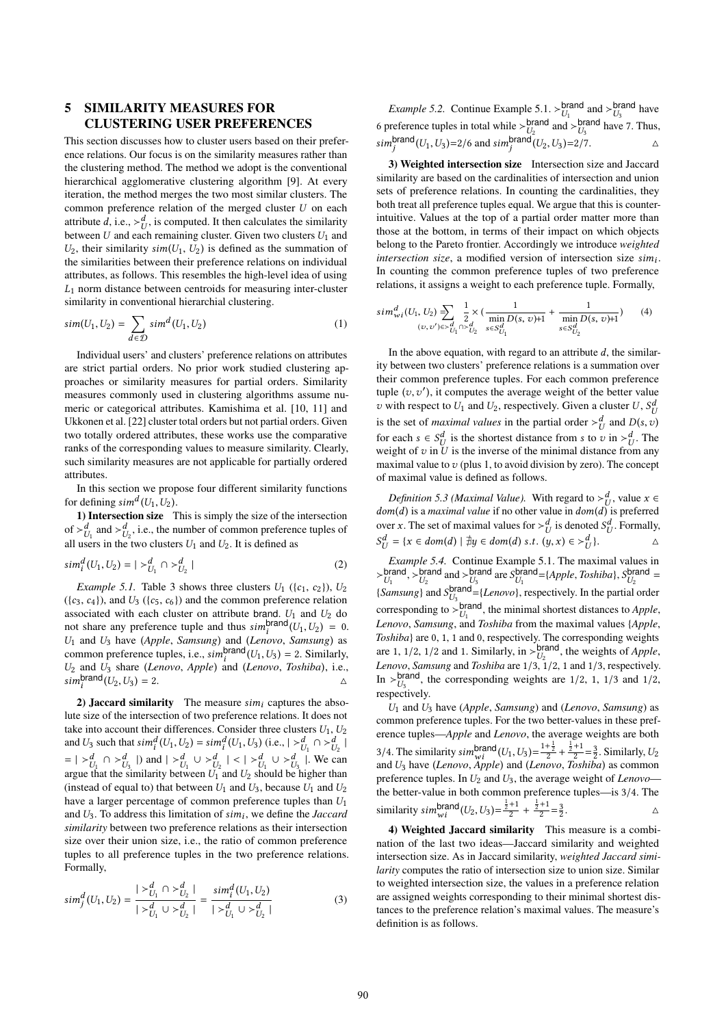## 5 SIMILARITY MEASURES FOR CLUSTERING USER PREFERENCES

This section discusses how to cluster users based on their preference relations. Our focus is on the similarity measures rather than the clustering method. The method we adopt is the conventional hierarchical agglomerative clustering algorithm [9]. At every iteration, the method merges the two most similar clusters. The common preference relation of the merged cluster U on each attribute d, i.e.,  $>\frac{d}{dt}$ , is computed. It then calculates the similarity<br>between *II* and each remaining cluster. Given two clusters *II*, and between U and each remaining cluster. Given two clusters  $U_1$  and  $U_2$  their similarity  $\sin(IL - IL)$  is defined as the summation of  $U_2$ , their similarity sim( $U_1, U_2$ ) is defined as the summation of the similarities between their preference relations on individual attributes, as follows. This resembles the high-level idea of using  $L_1$  norm distance between centroids for measuring inter-cluster similarity in conventional hierarchial clustering.

$$
sim(U_1, U_2) = \sum_{d \in \mathcal{D}} sim^d(U_1, U_2)
$$
 (1)

Individual users' and clusters' preference relations on attributes are strict partial orders. No prior work studied clustering approaches or similarity measures for partial orders. Similarity measures commonly used in clustering algorithms assume numeric or categorical attributes. Kamishima et al. [10, 11] and Ukkonen et al. [22] cluster total orders but not partial orders. Given two totally ordered attributes, these works use the comparative ranks of the corresponding values to measure similarity. Clearly, such similarity measures are not applicable for partially ordered attributes.

In this section we propose four different similarity functions for defining  $sim^d(U_1, U_2)$ .<br>
1) Intersection size T

1) Intersection size This is simply the size of the intersection of  $\succ^d_{U_1}$  and  $\succ^d_{U_2}$ , i.e., the number of common preference tuples of all users in the two clusters  $U_1$  and  $U_2$ . It is defined as

$$
sim_i^d(U_1, U_2) = |{}^>_{U_1}^d \cap {}^>_{U_2}^d |
$$
\n(2)

*Example 5.1.* Table 3 shows three clusters  $U_1$  ({ $c_1$ ,  $c_2$ }),  $U_2$  $({c_3, c_4})$ , and  $U_3({c_5, c_6})$  and the common preference relation associated with each cluster on attribute brand.  $U_1$  and  $U_2$  do not share any preference tuple and thus  $\sinh_i^{\text{brand}}(U_1, U_2) = 0$ .<br> *U<sub>L</sub>* and *U<sub>p</sub>* have (Apple Samsung) and (Langua Samsung) as  $U_1$  and  $U_3$  have (*Apple*, *Samsung*) and (*Lenovo*, *Samsung*) as<br>common preference tuples i.e.,  $\sinh$   $\arctan (U_L, U_D) = 2$  Similarly common preference tuples, i.e.,  $sim^{\text{brand}}(U_1, U_3) = 2$ . Similarly,<br>  $U_2$  and  $U_3$  share (Lenovo, Apple) and (Lenovo, Toshiba) i.e.  $U_2$  and  $U_3$  share (*Lenovo*, *Apple*) and (*Lenovo*, *Toshiba*), i.e.,  $\sum_{n=1}^{\infty}$  $\sum_{i} \text{Sim}_{i}^{\text{brand}}(U_2, U_3) = 2.$ 

2) **Jaccard similarity** The measure  $sim_i$  captures the abso-<br>exize of the intersection of two preference relations. It does not lute size of the intersection of two preference relations. It does not take into account their differences. Consider three clusters  $U_1, U_2$ <br>and  $U_2$  such that  $\sin^d (U_1, U_2) - \sin^d (U_1, U_2)$  (i.e.,  $|\leq d| \leq d$ ) and U<sub>3</sub> such that  $\sin\frac{d}{i}(U_1, U_2) = \sin\frac{d}{i}(U_1, U_3)$  (i.e.,  $|\frac{d}{U_1} \cap \frac{d}{U_2}|$ <br>=  $|\frac{d}{U_1} \cap \frac{d}{U_3}|$ ) and  $|\frac{d}{U_1} \cup \frac{d}{U_2}| < |\frac{d}{U_1} \cup \frac{d}{U_3}|$ . We can<br>aroue that the similarity between U<sub>2</sub> and U<sub>2</sub> shou | argue that the similarity between  $U_1$  and  $U_2$  should be higher than<br>(instead of equal to) that between  $U_1$  and  $U_2$  because  $U_1$  and  $U_2$ (instead of equal to) that between  $U_1$  and  $U_3$ , because  $U_1$  and  $U_2$ have a larger percentage of common preference tuples than  $U_1$ and  $U_3$ . To address this limitation of  $\sin n_i$ , we define the *Jaccard*  $\sin n_i$  between two preference relations as their intersection *similarity* between two preference relations as their intersection size over their union size, i.e., the ratio of common preference tuples to all preference tuples in the two preference relations. Formally,

$$
sim_j^d(U_1, U_2) = \frac{|>_{U_1}^d \cap >_{U_2}^d|}{|>_{U_1}^d \cup >_{U_2}^d|} = \frac{sim_j^d(U_1, U_2)}{|>_{U_1}^d \cup >_{U_2}^d|}
$$
(3)

*Example 5.2.* Continue Example 5.1. >  $\frac{branch}{th}$ brand  $_{U_1}$  and  $>_{U_3}$ <br>brand here 7  $U_3$  have<br>we  $7$  Thus 6 preference tuples in total while  $>_{U_0}^{branch}$ brand  $_{U_2}$  and  $>_{U_3}$ <br>
and  $_{U_1}$   $_{U_2}$   $_{U_3}$   $_{U_2}$   $_{U_3}$  $U_3^{\text{prand}}$  have 7. Thus,  $\sum_j \text{sim}^{\text{brand}}(U_1, U_3) = 2/6$  and  $\sum_j \text{sim}^{\text{brand}}(U_2, U_3) = 2/7.$ 

3) Weighted intersection size Intersection size and Jaccard similarity are based on the cardinalities of intersection and union sets of preference relations. In counting the cardinalities, they both treat all preference tuples equal. We argue that this is counterintuitive. Values at the top of a partial order matter more than those at the bottom, in terms of their impact on which objects belong to the Pareto frontier. Accordingly we introduce *weighted intersection size*, a modified version of intersection size  $\sin i$ .<br>In counting the common preference tuples of two preference In counting the common preference tuples of two preference relations, it assigns a weight to each preference tuple. Formally,

$$
sim_{wi}^{d}(U_1, U_2) \equiv \sum_{(v, v') \in >_{U_1}^{d} \cap >_{U_2}^{d}} \frac{1}{2} \times (\frac{1}{\min_{s \in S_{U_1}^{d}} D(s, v) + 1} + \frac{1}{\min_{s \in S_{U_2}^{d}} D(s, v) + 1})
$$
(4)

In the above equation, with regard to an attribute  $d$ , the similarity between two clusters' preference relations is a summation over their common preference tuples. For each common preference tuple  $(v, v')$ , it computes the average weight of the better value v with respect to  $U_1$  and  $U_2$ , respectively. Given a cluster  $U$ ,  $S_L^{\alpha}$ is the set of *maximal values* in the partial order ≻  $\frac{d}{U}$  and  $D(s, v)$ for each  $s \in S_d^d$  is the shortest distance from s to v in ≻ $_d^d$ . The weight of z in *U* is the inverse of the minimal distance from any weight of v in U is the inverse of the minimal distance from any<br>maximal value to v(plus 1 to avoid division by zero). The concent maximal value to  $v$  (plus 1, to avoid division by zero). The concept of maximal value is defined as follows.

*Definition 5.3 (Maximal Value).* With regard to  $>\frac{d}{dx}$ , value  $x \in m(d)$  is a *maximal value* if no other value in *dom(d)* is preferred  $dom(d)$  is a *maximal value* if no other value in  $dom(d)$  is preferred<br>over x. The set of maximal values for  $\geq d$  is denoted  $S^d$ . Formally over x. The set of maximal values for  $>\frac{d}{d}$  is denoted  $S_d^d$ <br>
sd =  $\int x \in dom(d) + \frac{1}{2}u \in dom(d)$  s  $t \in (u, x) \in \mathbb{R}^d$  $U$  = { $x \in dom(d) | \nexists y \in dom(d) \text{ s.t. } (y, x) \in >_U^d$  }. . Formally,

Example 5.4. Continue Example 5.1. The maximal values in  $>_{LL}^{branch}$ brand<br> $U_1$ ,  $>U_2$ <br>Equipment and brand  $_{U_2}$  and  $>_{U_3}$ <br>bland chrand (*L* brand are  $S_{U_1}^{\text{brand}}$ <br>d =  $U_1$  are via large  $U_1^{\text{brand}} = \{Apple, Toshiba\}, S_{U_2}^{\text{brand}}\}$  $U_2$ <br>clondon {*Samsung*} and  $S_{U_3}^{\text{brand}} = \{Lenovo\}$ , respectively. In the partial order corresponding to  $>_{LL}^{D_3}$  $U_1$  orang, the minimal shortest distances to *Apple*, and *Toshiba* from the maximal values *{Apple} Lenovo*, *Samsung*, and *Toshiba* from the maximal values {*Apple*, *Toshiba*} are 0, 1, 1 and 0, respectively. The corresponding weights are 1, 1/2, 1/2 and 1. Similarly, in ≻brand, the weights of *Apple*,<br>Langua, Samsung and Tashiba are 1/2, 1/2, 1 and 1/2, represtively Lenovo, Samsung and Toshiba are  $1/3$ ,  $1/2$ , 1 and  $1/3$ , respectively. *Lenovo*, *Samsung* and *Toshiba* are 1/3, 1/2, 1 and 1/3, respectively.<br>In ≻<sup>brand</sup>, the corresponding weights are 1/2, 1, 1/3 and 1/2,  $\frac{U_3}{\text{respectively.}}$ 

<sup>U</sup><sup>1</sup> and <sup>U</sup><sup>3</sup> have (*Apple*, *Samsung*) and (*Lenovo*, *Samsung*) as common preference tuples. For the two better-values in these preference tuples—*Apple* and *Lenovo*, the average weights are both 3/4. The similarity  $\sin \frac{\text{brand}}{\text{wi}}(U_1, U_3) = \frac{1 + \frac{1}{2}}{2} + \frac{\frac{1}{2} + 1}{2}$ <br>and  $U_2$  have *(Lenovo, Apple)* and *(Lenovo, Tos,*  $\frac{+1}{2} = \frac{3}{2}$ . Similarly,  $U_2$ <br>oshiba) as common and  $U_3$  have (*Lenovo*, *Apple*) and (*Lenovo*, *Toshiba*) as common<br>preference tuples. In  $U_2$  and  $U_3$  the average weight of *Lenovo* preference tuples. In <sup>U</sup><sup>2</sup> and <sup>U</sup>3, the average weight of *Lenovo* the better-value in both common preference tuples—is 3/4. The<br>similarity simpland  $(I_0, I_0) = \frac{\frac{1}{2}+1}{2} + \frac{\frac{1}{2}+1}{2} = \frac{3}{2}$ similarity  $sim_{wi}^{brand}(U_2, U_3) = \frac{\frac{1}{2} + 1}{2}$  $\frac{+1}{2} + \frac{\frac{1}{2}+1}{2}$  $\frac{+1}{2} = \frac{3}{2}$ . <br>  $\label{eq:2.1} \Delta$ 

4) Weighted Jaccard similarity This measure is a combination of the last two ideas—Jaccard similarity and weighted intersection size. As in Jaccard similarity, *weighted Jaccard similarity* computes the ratio of intersection size to union size. Similar to weighted intersection size, the values in a preference relation are assigned weights corresponding to their minimal shortest distances to the preference relation's maximal values. The measure's definition is as follows.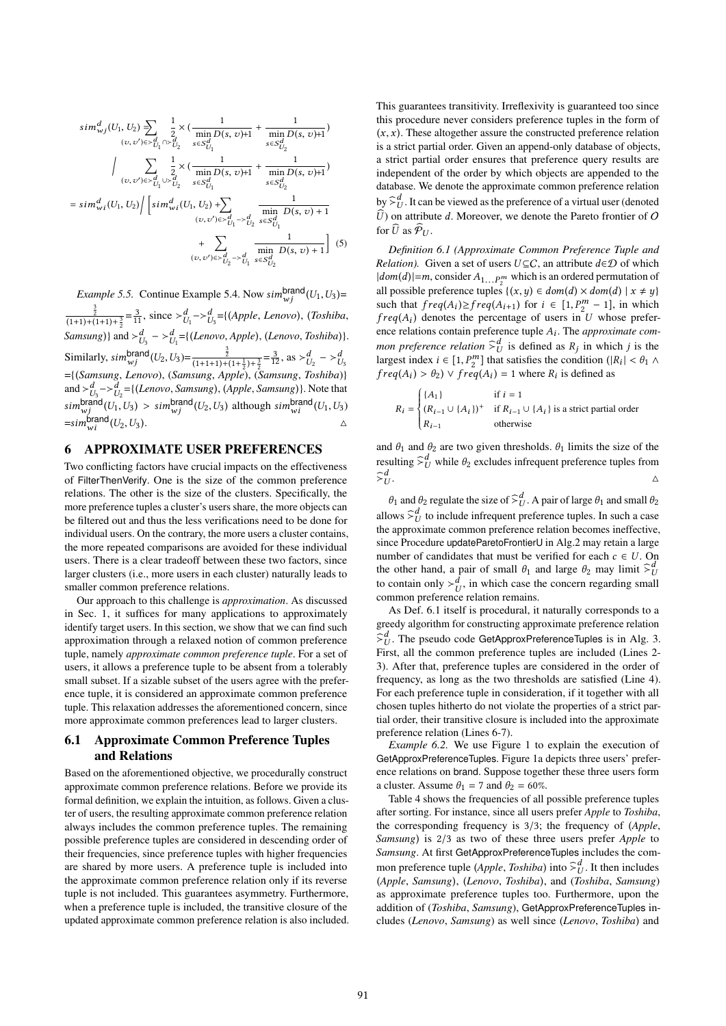$$
sim_{wj}^{d}(U_1, U_2) \sum_{(v, v') \in \times_{U_1}^{d} \cap \times_{U_2}^{d}} \frac{1}{2} \times (\frac{1}{\min_{v \in S_{U_1}^{d}} D(s, v) + 1} + \frac{1}{\min_{s \in S_{U_2}^{d}} D(s, v) + 1})
$$
\n
$$
\Big| \sum_{(v, v') \in \times_{U_1}^{d} \cup \times_{U_2}^{d}} \frac{1}{2} \times (\frac{1}{\min_{v \in S_{U_1}^{d}} D(s, v) + 1} + \frac{1}{\min_{s \in S_{U_2}^{d}} D(s, v) + 1})
$$
\n
$$
= sim_{wi}^{d}(U_1, U_2) / [\sin_{wi}^{d}(U_1, U_2) + \sum_{(v, v') \in \times_{U_1}^{d}} \frac{1}{\min_{s \in S_{U_1}^{d}} D(s, v) + 1}
$$
\n
$$
+ \sum_{(v, v') \in \times_{U_2}^{d}} \frac{1}{\min_{v \in S_{U_1}^{d}} D(s, v) + 1}] (5)
$$

*Example 5.5.* Continue Example 5.4. Now  $\sin \frac{\theta}{w}$  (*U*<sub>1</sub>, *U*<sub>3</sub>) =  $\frac{3}{(1+1)+(1+1)+\frac{3}{2}} = \frac{3}{11}$ , since  $> d$ <sub>*U*<sub>1</sub></sub>  $> d$ <sub>*U*<sub>3</sub></sub> = {(*Apple*, *Lenovo*), (*Toshiba*,  $\{Samsung\}$  and  $\succ^d_{U_3} \rightarrow \frac{d}{U_1} = \{(Lenovo, Apple), (Lenovo, Toshiba)\}.$  $U_3$   $U_1$  $\text{Similarly,} \, \text{sim}^{\text{brand}}_{\text{w}j}(U_2, U_3) = \frac{\frac{3}{2}}{(1+1+1)+(1+\frac{1}{2})+\frac{3}{2}} = \frac{3}{12}, \, \text{as} \, >_{U_2}^d \, - \, >_{U_3}^d$ <br>={(*Samsung, Lenovo*), (*Samsung, Apple*), (*Samsung, Toshiba*)} and  $>_{U_3}^d$  $>_{U_2}^d$ ={(*Lenovo*, *Samsung*), (*Apple*, *Samsung*)}. Note that<br>  $\sum_{i=1}^d$   $\sum_{i=1}^d$   $\sum_{i=1}^d$   $\sum_{i=1}^d$   $\sum_{i=1}^d$   $\sum_{i=1}^d$   $\sum_{i=1}^d$   $\sum_{i=1}^d$   $\sum_{i=1}^d$   $\sum_{i=1}^d$   $\sum_{i=1}^d$   $\sum_{i=$  $\lim_{w_j}^{\text{brand}}(U_1, U_3) > \sin_{w_j}^{\text{brand}}(U_2, U_3)$  although  $\lim_{w_i}^{\text{brand}}(U_1, U_3)$  $=sim_{wi}^{brand}(U_2,U_3).$ 

## 6 APPROXIMATE USER PREFERENCES

Two conflicting factors have crucial impacts on the effectiveness of FilterThenVerify. One is the size of the common preference relations. The other is the size of the clusters. Specifically, the more preference tuples a cluster's users share, the more objects can be filtered out and thus the less verifications need to be done for individual users. On the contrary, the more users a cluster contains, the more repeated comparisons are avoided for these individual users. There is a clear tradeoff between these two factors, since larger clusters (i.e., more users in each cluster) naturally leads to smaller common preference relations.

Our approach to this challenge is *approximation*. As discussed in Sec. 1, it suffices for many applications to approximately identify target users. In this section, we show that we can find such approximation through a relaxed notion of common preference tuple, namely *approximate common preference tuple*. For a set of users, it allows a preference tuple to be absent from a tolerably small subset. If a sizable subset of the users agree with the preference tuple, it is considered an approximate common preference tuple. This relaxation addresses the aforementioned concern, since more approximate common preferences lead to larger clusters.

### 6.1 Approximate Common Preference Tuples and Relations

Based on the aforementioned objective, we procedurally construct approximate common preference relations. Before we provide its formal definition, we explain the intuition, as follows. Given a cluster of users, the resulting approximate common preference relation always includes the common preference tuples. The remaining possible preference tuples are considered in descending order of their frequencies, since preference tuples with higher frequencies are shared by more users. A preference tuple is included into the approximate common preference relation only if its reverse tuple is not included. This guarantees asymmetry. Furthermore, when a preference tuple is included, the transitive closure of the updated approximate common preference relation is also included. This guarantees transitivity. Irreflexivity is guaranteed too since this procedure never considers preference tuples in the form of  $(x, x)$ . These altogether assure the constructed preference relation is a strict partial order. Given an append-only database of objects, a strict partial order ensures that preference query results are independent of the order by which objects are appended to the database. We denote the approximate common preference relation by  $\sum_{U}^{d}$ . It can be viewed as the preference of a virtual user (denoted  $\hat{U}$ ) on attribute d. Moreover, we denote the Pareto frontier of  $\hat{U}$  $\widehat{U}$ ) on attribute d. Moreover, we denote the Pareto frontier of O for  $\widehat{U}$  as  $\widehat{\mathcal{P}}_{U}$ .

*Definition 6.1 (Approximate Common Preference Tuple and Relation*). Given a set of users  $U \subseteq C$ , an attribute  $d \in \mathcal{D}$  of which  $|dom(d)|=m$ , consider  $A_{1...P_n^m}$  which is an ordered permutation of<br>all possible preference tuples  $f(x, y) \in dom(d) \times dom(d) + x + y$ all possible preference tuples  $\{(x,y) \in dom(d) \times dom(d) \mid x \neq y\}$ such that  $freq(A_i) \geq freq(A_{i+1})$  for  $i \in [1, P_2^m - 1]$ , in which  $freq(A_i)$  denotes the percentage of users in *II* whose prefer $freq(A_i)$  denotes the percentage of users in U whose prefer-<br>ence relations contain preference tuple 4. The approximate comence relations contain preference tuple <sup>A</sup>i . The *approximate common preference relation*  $\sum_{i=0}^{d}$  is defined as  $R_j$  in which j is the largest index  $i \in [1 \text{ P}^m]$  that satisfies the condition  $(|R_i| \le \theta_1)$ . largest index  $i \in [1, P_2^m]$  that satisfies the condition  $(|R_i| < \theta_1 \wedge$ <br>freq(A)  $> \theta_2$ )  $\vee$  freq(A) = 1 where  $R_i$  is defined as  $freq(A_i) > \theta_2$ )  $\vee freq(A_i) = 1$  where  $R_i$  is defined as

$$
R_i = \begin{cases} \{A_1\} & \text{if } i = 1\\ (R_{i-1} \cup \{A_i\})^+ & \text{if } R_{i-1} \cup \{A_i\} \text{ is a strict partial order} \\ R_{i-1} & \text{otherwise} \end{cases}
$$

and  $\theta_1$  and  $\theta_2$  are two given thresholds.  $\theta_1$  limits the size of the resulting  $\widehat{\succ}^d_U$  while  $\theta_2$  excludes infrequent preference tuples from  $\widehat{\succ}_{l}^{a}$  $U$ .

 $θ_1$  and  $θ_2$  regulate the size of  $\hat{≥}_U^d$ . A pair of large  $θ_1$  and small  $θ_2$ allows  $\hat{\Sigma}_{U}^{d}$  to include infrequent preference tuples. In such a case<br>the approximate common preference relation becomes ineffective the approximate common preference relation becomes ineffective, since Procedure updateParetoFrontierU in Alg.2 may retain a large number of candidates that must be verified for each  $c \in U$ . On the other hand, a pair of small  $\theta_1$  and large  $\theta_2$  may limit  $\sum_{k=1}^{n} \theta_k$  to consist a small  $\theta_1$ to contain only  $\succ_U^d$ , in which case the concern regarding small common preference relation remains.

As Def. 6.1 itself is procedural, it naturally corresponds to a greedy algorithm for constructing approximate preference relation  $\hat{\succ}^d_U$ . The pseudo code GetApproxPreferenceTuples is in Alg. 3.<br>First, all the common preference tuples are included (I ines 2. First, all the common preference tuples are included (Lines 2- 3). After that, preference tuples are considered in the order of frequency, as long as the two thresholds are satisfied (Line 4). For each preference tuple in consideration, if it together with all chosen tuples hitherto do not violate the properties of a strict partial order, their transitive closure is included into the approximate preference relation (Lines 6-7).

*Example 6.2.* We use Figure 1 to explain the execution of GetApproxPreferenceTuples. Figure 1a depicts three users' preference relations on brand. Suppose together these three users form a cluster. Assume  $\theta_1 = 7$  and  $\theta_2 = 60\%$ .

Table 4 shows the frequencies of all possible preference tuples after sorting. For instance, since all users prefer *Apple* to *Toshiba*, the corresponding frequency is <sup>3</sup>/3; the frequency of (*Apple*, *Samsung*) is <sup>2</sup>/<sup>3</sup> as two of these three users prefer *Apple* to *Samsung*. At first GetApproxPreferenceTuples includes the common preference tuple (*Apple*, *Toshiba*) into  $\hat{\zeta}_U^d$ . It then includes (*Apple* Samsuno) (*Lenovo Toshiba*) and (*Toshiba Samsuno*) (*Apple*, *Samsung*), (*Lenovo*, *Toshiba*), and (*Toshiba*, *Samsung*) as approximate preference tuples too. Furthermore, upon the addition of (*Toshiba*, *Samsung*), GetApproxPreferenceTuples includes (*Lenovo*, *Samsung*) as well since (*Lenovo*, *Toshiba*) and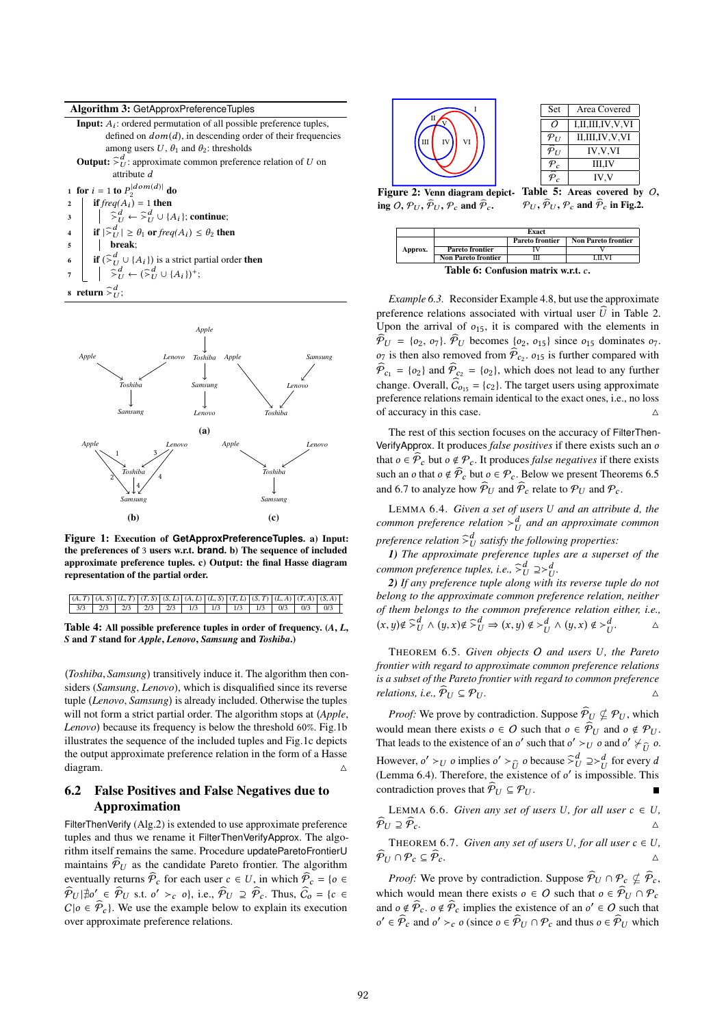

|                                                 | <b>Input:</b> $A_i$ : ordered permutation of all possible preference tuples,                                                                                                                                                                                                                                                                                                                                  |
|-------------------------------------------------|---------------------------------------------------------------------------------------------------------------------------------------------------------------------------------------------------------------------------------------------------------------------------------------------------------------------------------------------------------------------------------------------------------------|
|                                                 | defined on $dom(d)$ , in descending order of their frequencies                                                                                                                                                                                                                                                                                                                                                |
|                                                 | among users U, $\theta_1$ and $\theta_2$ : thresholds                                                                                                                                                                                                                                                                                                                                                         |
|                                                 | <b>Output:</b> $\hat{\succ}^d_{II}$ : approximate common preference relation of U on                                                                                                                                                                                                                                                                                                                          |
|                                                 | attribute d                                                                                                                                                                                                                                                                                                                                                                                                   |
|                                                 | 1 for $i = 1$ to $P_2^{ dom(d) }$ do                                                                                                                                                                                                                                                                                                                                                                          |
| $\overline{2}$                                  | if $freq(A_i) = 1$ then                                                                                                                                                                                                                                                                                                                                                                                       |
|                                                 | $\begin{array}{ccc} 3 &   &  \hat{\times}^d_U \leftarrow \hat{\times}^d_U \cup \{A_i\}; \text{continue}; \end{array}$                                                                                                                                                                                                                                                                                         |
| $\left  \begin{array}{c} 4 \end{array} \right $ | if $ \hat{\succ}^d_{II}  \geq \theta_1$ or $freq(A_i) \leq \theta_2$ then                                                                                                                                                                                                                                                                                                                                     |
| $\overline{5}$                                  | break:                                                                                                                                                                                                                                                                                                                                                                                                        |
| $6 \mid$                                        | <b>if</b> $(\sum_{i=1}^{d} \cup \{A_i\})$ is a strict partial order then                                                                                                                                                                                                                                                                                                                                      |
|                                                 | $\overline{a}$ $\begin{array}{ccc} \vdots & \vdots \\ \n\end{array}$ $\begin{array}{ccc} & \vdots \\ \n\end{array}$ $\begin{array}{ccc} & \vdots \\ \n\end{array}$ $\begin{array}{ccc} & \vdots \\ \n\end{array}$ $\begin{array}{ccc} & \vdots \\ \n\end{array}$ $\begin{array}{ccc} & \vdots \\ \n\end{array}$ $\begin{array}{ccc} & \vdots \\ \n\end{array}$ $\begin{array}{ccc} & \vdots \\ \n\end{array}$ |
|                                                 |                                                                                                                                                                                                                                                                                                                                                                                                               |

s return  $\widehat{\succ}^d_U$ ;



Figure 1: Execution of **GetApproxPreferenceTuples**. a) Input: the preferences of 3 users w.r.t. **brand**. b) The sequence of included approximate preference tuples. c) Output: the final Hasse diagram representation of the partial order.

| $(A, T)$ $(A, S)$ $(C, T)$ $(T, S)$ $(S, L)$ $(A, L)$ $(C, S)$ $(T, L)$ $(S, T)$ $(C, A)$ $(T, A)$ $(S, A)$ |  |  |  |  |  |  |
|-------------------------------------------------------------------------------------------------------------|--|--|--|--|--|--|
|                                                                                                             |  |  |  |  |  |  |

Table 4: All possible preference tuples in order of frequency. (*A*, *L*, *S* and *T* stand for *Apple*, *Lenovo*, *Samsung* and *Toshiba*.)

(*Toshiba*, *Samsung*) transitively induce it. The algorithm then considers (*Samsung*, *Lenovo*), which is disqualified since its reverse tuple (*Lenovo*, *Samsung*) is already included. Otherwise the tuples will not form a strict partial order. The algorithm stops at (*Apple*, *Lenovo*) because its frequency is below the threshold 60%. Fig.1b illustrates the sequence of the included tuples and Fig.1c depicts the output approximate preference relation in the form of a Hasse diagram.  $\triangle$ 

## 6.2 False Positives and False Negatives due to Approximation

FilterThenVerify (Alg.2) is extended to use approximate preference tuples and thus we rename it FilterThenVerifyApprox. The algorithm itself remains the same. Procedure updateParetoFrontierU maintains  $\hat{\mathcal{P}}_{U}$  as the candidate Pareto frontier. The algorithm eventually returns  $\widehat{\mathcal{P}}_c$  for each user  $c \in U$ , in which  $\widehat{\mathcal{P}}_c = \{o \in$  $\hat{\mathcal{P}}_U$   $|\nexists o' \in \hat{\mathcal{P}}_U$  s.t.  $o' >_c o$ , i.e.,  $\hat{\mathcal{P}}_U \supseteq \hat{\mathcal{P}}_c$ . Thus,  $\hat{C}_o = \{c \in \hat{\mathcal{P}}_v \mid W_0 \text{ and the example below to explain its covariant}.$  $C|o \in \hat{\mathcal{P}}_c$ . We use the example below to explain its execution over approximate preference relations.



| Set                       | Area Covered                    |  |
|---------------------------|---------------------------------|--|
| Ω                         | I,II,III,IV,V,VI                |  |
| $\mathcal{P}_U$           | II,III,IV,V,VI                  |  |
| $\widehat{\mathcal{P}}_U$ | <b>IV.V.VI</b>                  |  |
| $P_c$                     | III,IV                          |  |
| $\widehat{\mathcal{P}}_c$ | IV.V                            |  |
|                           | Table 5: Areas covered by $O$ , |  |

Figure 2: Venn diagram depicting O,  $\mathcal{P}_{U}$ ,  $\widehat{\mathcal{P}}_{U}$ ,  $\mathcal{P}_{C}$  and  $\widehat{\mathcal{P}}_{C}$ .

 $\mathcal{P}_U, \widehat{\mathcal{P}}_U, \mathcal{P}_c$  and  $\widehat{\mathcal{P}}_c$  in Fig.2.

|                                     |                            | Exact           |                            |  |  |  |  |  |  |  |  |
|-------------------------------------|----------------------------|-----------------|----------------------------|--|--|--|--|--|--|--|--|
|                                     |                            | Pareto frontier | <b>Non Pareto frontier</b> |  |  |  |  |  |  |  |  |
| Approx.                             | <b>Pareto frontier</b>     |                 |                            |  |  |  |  |  |  |  |  |
|                                     | <b>Non Pareto frontier</b> |                 | I.II.VI                    |  |  |  |  |  |  |  |  |
| Table 6: Confusion matrix w.r.t. c. |                            |                 |                            |  |  |  |  |  |  |  |  |

*Example 6.3.* Reconsider Example 4.8, but use the approximate preference relations associated with virtual user  $\hat{U}$  in Table 2. Upon the arrival of  $o_{15}$ , it is compared with the elements in  $\widehat{\mathcal{P}}_{U} = \{o_2, o_7\}$ .  $\widehat{\mathcal{P}}_{U}$  becomes  $\{o_2, o_{15}\}$  since  $o_{15}$  dominates  $o_7$ .  $\widehat{\sigma}_{\sigma_2}$  is then also removed from  $\widehat{\mathcal{P}}_{c_2}$ ,  $\sigma_{15}$  is further compared with  $\widehat{\mathcal{P}}_{c_1} = \{o_2\}$  and  $\widehat{\mathcal{P}}_{c_2} = \{o_2\}$ , which does not lead to any further change. Overall,  $\widehat{C}_{o_{15}} = \{c_2\}$ . The target users using approximate preference relations remain identical to the exact ones, i.e., no loss of accuracy in this case.  $\triangle$ 

The rest of this section focuses on the accuracy of FilterThen-VerifyApprox. It produces *false positives* if there exists such an o that  $o \in \widehat{\mathcal{P}}_c$  but  $o \notin \mathcal{P}_c$ . It produces *false negatives* if there exists such an o that  $o \notin \widehat{\mathcal{P}}_c$  but  $o \in \mathcal{P}_c$ . Below we present Theorems 6.5 and 6.7 to analyze how  $\widehat{\mathcal{P}}_{U}$  and  $\widehat{\mathcal{P}}_{C}$  relate to  $\mathcal{P}_{U}$  and  $\mathcal{P}_{C}$ .

LEMMA 6.4. *Given a set of users U and an attribute d, the common preference relation*  $>^d_U$  *and an approximate common preference relation*  $\hat{>}_U^d$  *satisfy the following properties:*<br>
1) The approximate preference tuples are a super

*1) The approximate preference tuples are a superset of the common preference tuples, i.e.,*  $\mathcal{F}_U^d \supseteq \mathcal{F}_U^d$ .<br>2) If any preference tuple along with i

U *2) If any preference tuple along with its reverse tuple do not belong to the approximate common preference relation, neither of them belongs to the common preference relation either, i.e.,*  $(x, y) \notin \bigotimes_{U}^{d} \wedge (y, x) \notin \bigotimes_{U}^{d} \Rightarrow (x, y) \notin \bigsetminus_{U}^{d} \wedge (y, x) \notin \bigsetminus_{U}^{d}$ *.* △

<sup>T</sup>HEOREM 6.5. *Given objects* <sup>O</sup> *and users* U *, the Pareto frontier with regard to approximate common preference relations is a subset of the Pareto frontier with regard to common preference relations, i.e.,*  $\widehat{\mathcal{P}}_{U} \subseteq \mathcal{P}_{U}$ .

*Proof:* We prove by contradiction. Suppose  $\widehat{\mathcal{P}}_U \nsubseteq \mathcal{P}_U$ , which would mean there exists  $o \in O$  such that  $o \in \hat{\mathcal{P}}_U$  and  $o \notin \mathcal{P}_U$ . That leads to the existence of an o' such that  $o' > U$  o and  $o' \neq \widehat{U}$  o. However,  $o' >_U o$  implies  $o' >_{\widehat{U}} o$  because  $\widehat{S}_U^U \supseteq S_U^d$  for every a *d* common 6.4). Therefore, the existence of *o'* is impossible. This (Lemma 6.4). Therefore, the existence of o' is impossible. This contradiction proves that  $\mathcal{P}_U \subseteq \mathcal{P}_U$ .

LEMMA 6.6. Given any set of users U, for all user 
$$
c \in U
$$
,  
 $\widehat{P}_U \supseteq \widehat{P}_c$ .

THEOREM 6.7. *Given any set of users U, for all user*  $c \in U$ ,  $\widehat{\mathcal{P}}_U \cap \mathcal{P}_c \subseteq \widehat{\mathcal{P}}_c$ .

*Proof:* We prove by contradiction. Suppose  $\hat{\mathcal{P}}_U \cap \mathcal{P}_c \nsubseteq \hat{\mathcal{P}}_c$ , which would mean there exists  $o \in O$  such that  $o \in \hat{\mathcal{P}}_U \cap \mathcal{P}_c$ and  $o \notin \widehat{P}_c$ .  $o \notin \widehat{P}_c$  implies the existence of an  $o' \in O$  such that  $o' \in \widehat{P}_c$  and  $o' \in \widehat{P}_c$  and  $o' \in \widehat{P}_c$  and  $o' \in \widehat{P}_c$  and  $o' \in \widehat{P}_c$  $o' \in \hat{\mathcal{P}}_c$  and  $o' >_c o$  (since  $o \in \hat{\mathcal{P}}_U \cap \mathcal{P}_c$  and thus  $o \in \hat{\mathcal{P}}_U$  which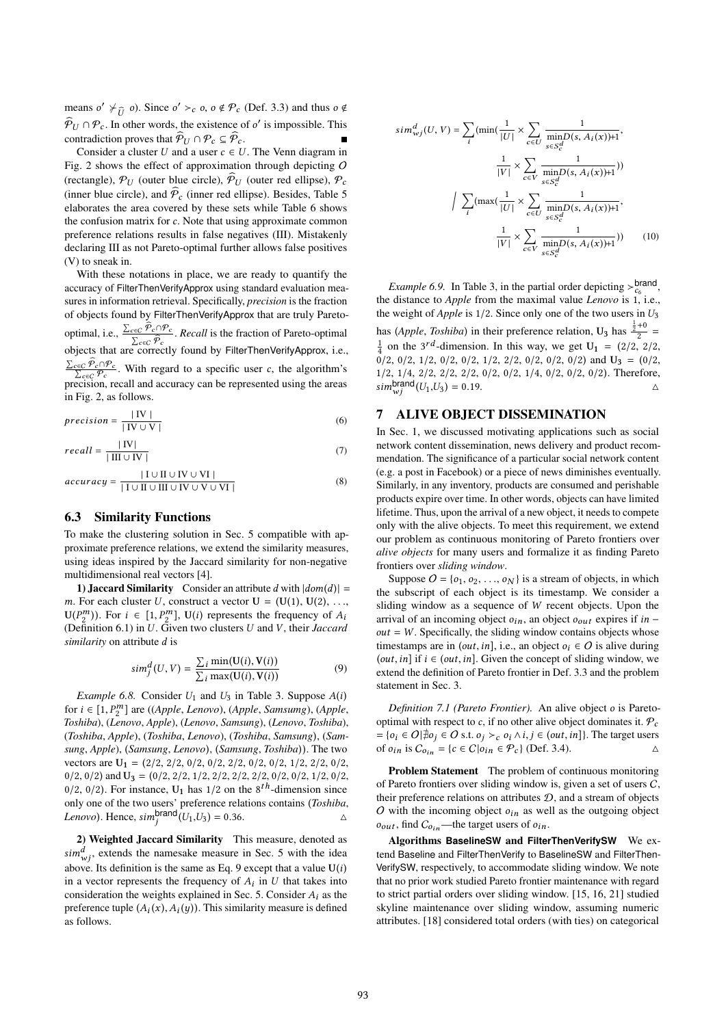means  $o' \neq_{\widehat{U}} o$ ). Since  $o' >_{c} o$ ,  $o \notin \mathcal{P}_{c}$  (Def. 3.3) and thus  $o \notin \widehat{\mathcal{P}}_{c} \cap \mathcal{P}_{c}$ . In other words, the existence of  $o'$  is impossible. This  $\hat{\mathcal{P}}_U \cap \mathcal{P}_c$ . In other words, the existence of o' is impossible. This contradiction proves that  $\widehat{\mathcal{P}}_U \cap \mathcal{P}_c \subseteq \widehat{\mathcal{P}}_c$ .

Consider a cluster U and a user  $c \in U$ . The Venn diagram in Fig. 2 shows the effect of approximation through depicting O (rectangle),  $P_U$  (outer blue circle),  $\hat{P}_U$  (outer red ellipse),  $P_c$ (inner blue circle), and  $\hat{\mathcal{P}}_c$  (inner red ellipse). Besides, Table 5 elaborates the area covered by these sets while Table 6 shows the confusion matrix for c. Note that using approximate common preference relations results in false negatives (III). Mistakenly declaring III as not Pareto-optimal further allows false positives (V) to sneak in.

With these notations in place, we are ready to quantify the accuracy of FilterThenVerifyApprox using standard evaluation measures in information retrieval. Specifically, *precision* is the fraction of objects found by FilterThenVerifyApprox that are truly Paretooptimal, i.e.,  $\frac{\sum_{c \in C} \hat{P}_c \cap P_c}{\sum_{c \in C} \hat{P}_c}$ . *Recall* is the fraction of Pareto-optimal objects that are correctly found by EilterTheoVerifyApprox i.e. objects that are correctly found by FilterThenVerifyApprox, i.e.,  $\frac{\sum_{c \in C} \hat{\mathcal{P}}_c \cap \mathcal{P}_c}{\sum_{c \in C} \mathcal{P}_c}$ . With regard to a specific user c, the algorithm's precision, recall and accuracy can be represented using the areas in Fig. 2, as follows.

$$
precision = \frac{|\text{IV}|}{|\text{IV} \cup \text{V}|}
$$
 (6)

$$
recall = \frac{|\text{IV}|}{|\text{III} \cup \text{IV}|}
$$
 (7)

$$
accuracy = \frac{|I \cup II \cup IV \cup VI|}{|I \cup II \cup III \cup IV \cup V \cup VI|}
$$
 (8)

### 6.3 Similarity Functions

To make the clustering solution in Sec. 5 compatible with approximate preference relations, we extend the similarity measures, using ideas inspired by the Jaccard similarity for non-negative multidimensional real vectors [4].

1) Jaccard Similarity Consider an attribute d with  $|dom(d)| =$ m. For each cluster U, construct a vector  $U = (U(1), U(2), \ldots,$  $U(P_2^m)$ ). For  $i \in [1, P_2^m]$ ,  $U(i)$  represents the frequency of  $A_i$ <br>(Definition 6.1) in *U*. Given two clusters *U* and *V*, their *Iccours* (Definition 6.1) in U . Given two clusters U and V , their *Jaccard similarity* on attribute d is

$$
sim_j^d(U, V) = \frac{\sum_i \min(U(i), V(i))}{\sum_i \max(U(i), V(i))}
$$
\n(9)

*Example 6.8.* Consider  $U_1$  and  $U_3$  in Table 3. Suppose  $A(i)$ for i <sup>∈</sup> [1, P m 2 ] are ((*Apple*, *Lenovo*), (*Apple*, *Samsumg*), (*Apple*, *Toshiba*), (*Lenovo*, *Apple*), (*Lenovo*, *Samsung*), (*Lenovo*, *Toshiba*), (*Toshiba*, *Apple*), (*Toshiba*, *Lenovo*), (*Toshiba*, *Samsung*), (*Samsung*, *Apple*), (*Samsung*, *Lenovo*), (*Samsung*, *Toshiba*)). The two vectors are  $U_1 = (2/2, 2/2, 0/2, 0/2, 2/2, 0/2, 0/2, 1/2, 2/2, 0/2,$  $0/2$ ,  $0/2$ ) and  $U_3 = (0/2, 2/2, 1/2, 2/2, 2/2, 2/2, 0/2, 0/2, 1/2, 0/2,$  $0/2$ ,  $0/2$ ). For instance,  $U_1$  has  $1/2$  on the  $8<sup>th</sup>$ -dimension since<br>only one of the two users' preference relations contains (Toshiba only one of the two users' preference relations contains (*Toshiba*, *Lenovo*). Hence,  $\text{sim}_j^{\text{brand}}(U_1, U_3) = 0.36$ .

2) Weighted Jaccard Similarity This measure, denoted as  $\sin^d_{\psi j}$ , extends the namesake measure in Sec. 5 with the idea<br>above Its definition is the same as Eq. 9 except that a value  $U(i)$ above. Its definition is the same as Eq. 9 except that a value  $U(i)$ in a vector represents the frequency of  $A_i$  in U that takes into<br>consideration the weights explained in Sec. 5. Consider 4: as the consideration the weights explained in Sec. 5. Consider  $A_i$  as the preference tuple  $(A_i(x), A_i(y))$ . This similarity measure is defined<br>as follows as follows.

j

$$
sim_{wj}^{d}(U, V) = \sum_{i} (\min(\frac{1}{|U|} \times \sum_{c \in U} \frac{1}{\min_{s \in S_{c}^{d}} D(s, A_{i}(x)) + 1},
$$

$$
\frac{1}{|V|} \times \sum_{c \in V} \frac{1}{\min_{s \in S_{c}^{d}} D(s, A_{i}(x)) + 1})
$$

$$
\Big| \sum_{i} (\max(\frac{1}{|U|} \times \sum_{c \in U} \frac{1}{\min_{s \in S_{c}^{d}} D(s, A_{i}(x)) + 1},
$$

$$
\frac{1}{|V|} \times \sum_{c \in V} \frac{1}{\min_{s \in S_{c}^{d}} D(s, A_{i}(x)) + 1})
$$
(10)

*Example 6.9.* In Table 3, in the partial order depicting  $\gt_{c_6}^{brand}$ , the distance to *Apple* from the maximal value *Lenovo* is 1, i.e., the weight of *Apple* is <sup>1</sup>/2. Since only one of the two users in <sup>U</sup><sup>3</sup> has (*Apple*, *Toshiba*) in their preference relation,  $U_3$  has  $\frac{\frac{1}{2}+0}{2}$  $\frac{18}{2}$  = 1 4 on the 3 r d -dimension. In this way, we get <sup>U</sup><sup>1</sup> <sup>=</sup> (2/2, <sup>2</sup>/2,  $0/2$ ,  $0/2$ ,  $1/2$ ,  $0/2$ ,  $0/2$ ,  $1/2$ ,  $2/2$ ,  $0/2$ ,  $0/2$ ,  $0/2$ ) and  $U_3 = (0/2, 1/2)$ 1/2, 1/4, 2/2, 2/2, 2/2, 0/2, 0/2, 1/4, 0/2, 0/2, 0/2). Therefore,<br>simplarity  $(I_1, I_2) = 0.19$ .  $\sum_{j} \text{sim}^{\text{brand}}(U_1, U_3) = 0.19.$ 

#### 7 ALIVE OBJECT DISSEMINATION

In Sec. 1, we discussed motivating applications such as social network content dissemination, news delivery and product recommendation. The significance of a particular social network content (e.g. a post in Facebook) or a piece of news diminishes eventually. Similarly, in any inventory, products are consumed and perishable products expire over time. In other words, objects can have limited lifetime. Thus, upon the arrival of a new object, it needs to compete only with the alive objects. To meet this requirement, we extend our problem as continuous monitoring of Pareto frontiers over *alive objects* for many users and formalize it as finding Pareto frontiers over *sliding window*.

Suppose  $O = \{o_1, o_2, \ldots, o_N\}$  is a stream of objects, in which the subscript of each object is its timestamp. We consider a sliding window as a sequence of W recent objects. Upon the arrival of an incoming object  $o_{in}$ , an object  $o_{out}$  expires if in –  $out = W$ . Specifically, the sliding window contains objects whose timestamps are in (out, in], i.e., an object  $o_i \in O$  is alive during (*out, in*] if  $i \in (out, in]$ . Given the concept of sliding window, we extend the definition of Pareto frontier in Def. 3.3 and the problem statement in Sec. 3.

*Definition 7.1 (Pareto Frontier).* An alive object o is Paretooptimal with respect to c, if no other alive object dominates it.  $P_c$  $= \{o_i \in O | \nexists o_j \in O \text{ s.t. } o_j >_c o_i \land i, j \in (out, in] \}.$  The target users of  $o_i$  in is  $C_{\alpha_i} = \{c \in C | o_i \in \mathcal{P}_c \}$  (Def. 3.4). of  $o_{in}$  is  $C_{o_{in}} = \{c \in C | o_{in} \in \mathcal{P}_c\}$  (Def. 3.4).

Problem Statement The problem of continuous monitoring of Pareto frontiers over sliding window is, given a set of users C, their preference relations on attributes  $D$ , and a stream of objects O with the incoming object  $o_{in}$  as well as the outgoing object  $o_{out}$ , find  $C_{o_{in}}$ —the target users of  $o_{in}$ .

Algorithms **BaselineSW** and **FilterThenVerifySW** We extend Baseline and FilterThenVerify to BaselineSW and FilterThen-VerifySW, respectively, to accommodate sliding window. We note that no prior work studied Pareto frontier maintenance with regard to strict partial orders over sliding window. [15, 16, 21] studied skyline maintenance over sliding window, assuming numeric attributes. [18] considered total orders (with ties) on categorical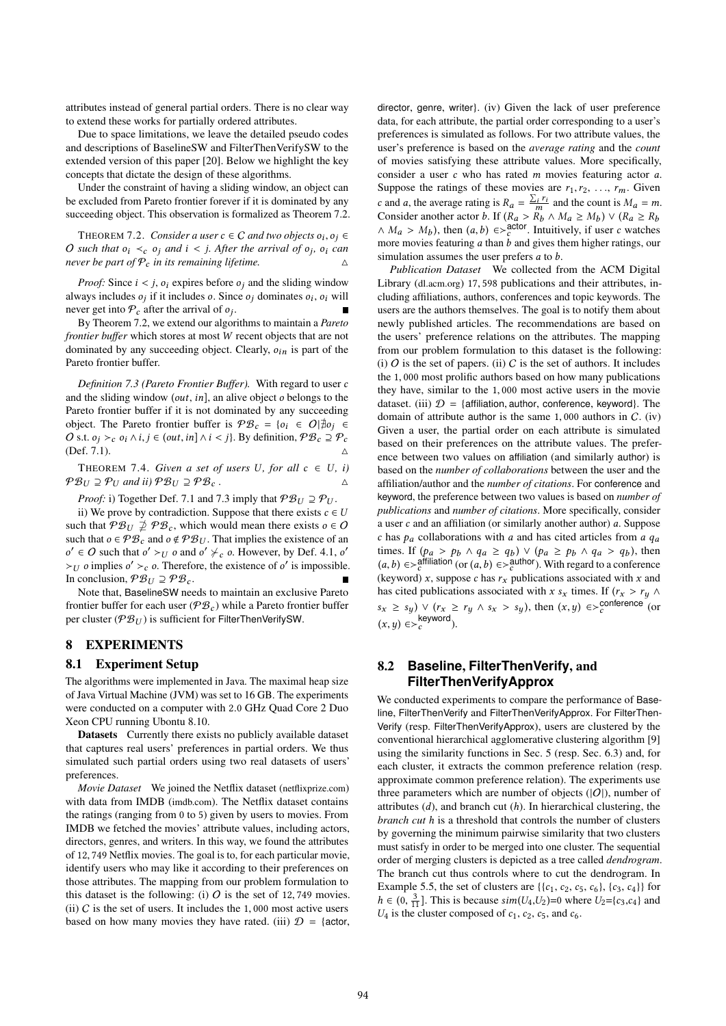attributes instead of general partial orders. There is no clear way to extend these works for partially ordered attributes.

Due to space limitations, we leave the detailed pseudo codes and descriptions of BaselineSW and FilterThenVerifySW to the extended version of this paper [20]. Below we highlight the key concepts that dictate the design of these algorithms.

Under the constraint of having a sliding window, an object can be excluded from Pareto frontier forever if it is dominated by any succeeding object. This observation is formalized as Theorem 7.2.

THEOREM 7.2. *Consider a user*  $c \in C$  *and two objects*  $o_i, o_j \in$ <br>such that  $o_i \leq c_i$  and  $i \leq i$  **After the arrival of**  $o_j$   $\infty$  can *O* such that  $o_i \lt c_j$  *o<sub>j</sub>* and *i* < *j. After the arrival of*  $o_j$ *,*  $o_i$  *can never be nort of*  $\Omega$  *in its remaining lifetime never be part of*  $P_c$  *in its remaining lifetime.* 

*Proof:* Since  $i < j$ ,  $o_i$  expires before  $o_j$  and the sliding window always includes  $o_j$  if it includes  $o$ . Since  $o_j$  dominates  $o_i$ ,  $o_i$  will never get into  $\mathcal{P}_i$  after the arrival of  $o_i$ . never get into  $P_c$  after the arrival of  $o_j$ .<br>By Theorem 7.2, we extend our algor

By Theorem 7.2, we extend our algorithms to maintain a *Pareto frontier buffer* which stores at most W recent objects that are not dominated by any succeeding object. Clearly,  $o_{in}$  is part of the Pareto frontier buffer.

*Definition 7.3 (Pareto Frontier Buffer).* With regard to user c and the sliding window  $(out, in]$ , an alive object  $o$  belongs to the Pareto frontier buffer if it is not dominated by any succeeding object. The Pareto frontier buffer is  $\mathcal{P}B_c = \{o_i \in O | \nexists o_j \in$ O s.t.  $o_i >_c o_i \wedge i, j \in (out, in] \wedge i < j$ . By definition,  $\mathcal{PB}_c \supseteq \mathcal{P}_c$  $(Def. 7.1).$ 

THEOREM 7.4. *Given a set of users* U, for all  $c \in U$ , *i*)  $\mathcal{P}B_U \supseteq \mathcal{P}_U$  and ii)  $\mathcal{P}B_U \supseteq \mathcal{P}_c$ .

*Proof:* i) Together Def. 7.1 and 7.3 imply that  $\mathcal{P}_{U} \supseteq \mathcal{P}_{U}$ .

ii) We prove by contradiction. Suppose that there exists  $c \in U$ such that  $\mathcal{P}B_U \nsubseteq \mathcal{P}B_c$ , which would mean there exists  $o \in O$ such that  $o \in \mathcal{P}B_c$  and  $o \notin \mathcal{P}B_U$ . That implies the existence of an  $\succ_U$  o implies o'  $\succ_C$  o. Therefore, the existence of o' is impossible.<br>In conclusion  $\mathcal{P}_{\mathcal{B}}^{\mathcal{B}}$  or  $\ell \in \mathcal{O}$  such that  $o' >_U o$  and  $o' \neq_c o$ . However, by Def. 4.1, o' In conclusion,  $\mathcal{P}_{U} \supseteq \mathcal{P}_{C}$ .

Note that, BaselineSW needs to maintain an exclusive Pareto frontier buffer for each user ( $\mathcal{P}B_c$ ) while a Pareto frontier buffer per cluster ( $\mathcal{P}B_U$ ) is sufficient for FilterThenVerifySW.

## 8 EXPERIMENTS

#### 8.1 Experiment Setup

The algorithms were implemented in Java. The maximal heap size of Java Virtual Machine (JVM) was set to 16 GB. The experiments were conducted on a computer with <sup>2</sup>.<sup>0</sup> GHz Quad Core 2 Duo Xeon CPU running Ubontu 8.10.

Datasets Currently there exists no publicly available dataset that captures real users' preferences in partial orders. We thus simulated such partial orders using two real datasets of users' preferences.

*Movie Dataset* We joined the Netflix dataset (netflixprize.com) with data from IMDB (imdb.com). The Netflix dataset contains the ratings (ranging from 0 to 5) given by users to movies. From IMDB we fetched the movies' attribute values, including actors, directors, genres, and writers. In this way, we found the attributes of <sup>12</sup>, <sup>749</sup> Netflix movies. The goal is to, for each particular movie, identify users who may like it according to their preferences on those attributes. The mapping from our problem formulation to this dataset is the following: (i)  $O$  is the set of 12,749 movies. (ii)  $C$  is the set of users. It includes the 1,000 most active users based on how many movies they have rated. (iii)  $\mathcal{D} = \{ \text{actor}, \}$  director, genre, writer}. (iv) Given the lack of user preference data, for each attribute, the partial order corresponding to a user's preferences is simulated as follows. For two attribute values, the user's preference is based on the *average rating* and the *count* of movies satisfying these attribute values. More specifically, consider a user c who has rated m movies featuring actor a.<br>Suppose the ratings of these movies are  $r_1, r_2, \ldots, r_m$ . Given Suppose the ratings of these movies are  $r_1, r_2, \ldots, r_m$ . Given c and a, the average rating is  $R_a = \frac{\sum_i r_i}{m}$  and the count is  $M_a = m$ .<br>Consider another actor b. If  $(R_a > R_b \wedge M_a > M_b) \vee (R_a > R_b$ Consider another actor b. If  $(R_a > R_b \land M_a \ge M_b) \lor (R_a \ge R_b \land M_a > M_b)$  then  $(a, b) \in \text{c}^{2}$  actor Intuitively if user c watches  $\wedge M_a > M_b$ ), then  $(a, b) \in \gtrsim_c^{\text{actor}}$ . Intuitively, if user c watches more movies featuring a than b and gives them higher ratings, our more movies featuring a than b and gives them higher ratings, our simulation assumes the user prefers a to b simulation assumes the user prefers *a* to *b*.

*Publication Dataset* We collected from the ACM Digital Library (dl.acm.org) <sup>17</sup>, <sup>598</sup> publications and their attributes, including affiliations, authors, conferences and topic keywords. The users are the authors themselves. The goal is to notify them about newly published articles. The recommendations are based on the users' preference relations on the attributes. The mapping from our problem formulation to this dataset is the following: (i)  $\overline{O}$  is the set of papers. (ii)  $\overline{C}$  is the set of authors. It includes the <sup>1</sup>, <sup>000</sup> most prolific authors based on how many publications they have, similar to the <sup>1</sup>, <sup>000</sup> most active users in the movie dataset. (iii)  $\mathcal{D} = \{$  affiliation, author, conference, keyword $\}$ . The domain of attribute author is the same  $1,000$  authors in  $C$ . (iv) Given a user, the partial order on each attribute is simulated based on their preferences on the attribute values. The preference between two values on affiliation (and similarly author) is based on the *number of collaborations* between the user and the affiliation/author and the *number of citations*. For conference and keyword, the preference between two values is based on *number of publications* and *number of citations*. More specifically, consider a user  $c$  and an affiliation (or similarly another author)  $a$ . Suppose c has  $p_a$  collaborations with a and has cited articles from a  $q_a$ times. If  $(p_a > p_b \land q_a \ge q_b) \lor (p_a \ge p_b \land q_a > q_b)$ , then<br>(a, b)  $\subset$  affiliation (or (a, b)  $\subset$  author). With regard to a conference  $(a, b) \in \succ_c^{\text{affiliation}}$  (or  $(a, b) \in \succ_c^{\text{author}}$ ). With regard to a conference<br>(keyword) x, suppose c has x, publications associated with x and (keyword) x, suppose c has  $r_x$  publications associated with x and<br>has cited publications associated with x s, times If  $(r \rightarrow r \land r)$ has cited publications associated with x s<sub>x</sub> times. If  $(r_x > r_y \land$  $s_x \geq s_y$ )  $\vee$   $(r_x \geq r_y \land s_x > s_y)$ , then  $(x, y) \in >c^{\text{conference}}$  (or  $(x, y) \in >_c^{\text{keyword}}$ ).

# 8.2 **Baseline**, **FilterThenVerify**, and **FilterThenVerifyApprox**

We conducted experiments to compare the performance of Baseline, FilterThenVerify and FilterThenVerifyApprox. For FilterThen-Verify (resp. FilterThenVerifyApprox), users are clustered by the conventional hierarchical agglomerative clustering algorithm [9] using the similarity functions in Sec. 5 (resp. Sec. 6.3) and, for each cluster, it extracts the common preference relation (resp. approximate common preference relation). The experiments use three parameters which are number of objects  $(|O|)$ , number of attributes  $(d)$ , and branch cut  $(h)$ . In hierarchical clustering, the *branch cut* h is a threshold that controls the number of clusters by governing the minimum pairwise similarity that two clusters must satisfy in order to be merged into one cluster. The sequential order of merging clusters is depicted as a tree called *dendrogram*. The branch cut thus controls where to cut the dendrogram. In Example 5.5, the set of clusters are  $\{\{c_1, c_2, c_5, c_6\}, \{c_3, c_4\}\}\$ for  $h \in (0, \frac{3}{11}]$ . This is because  $sim(U_4, U_2)=0$  where  $U_2 = \{c_3, c_4\}$  and  $U_4$  is the cluster composed of  $c_4$ ,  $c_5$  and  $c_6$  $U_4$  is the cluster composed of  $c_1$ ,  $c_2$ ,  $c_5$ , and  $c_6$ .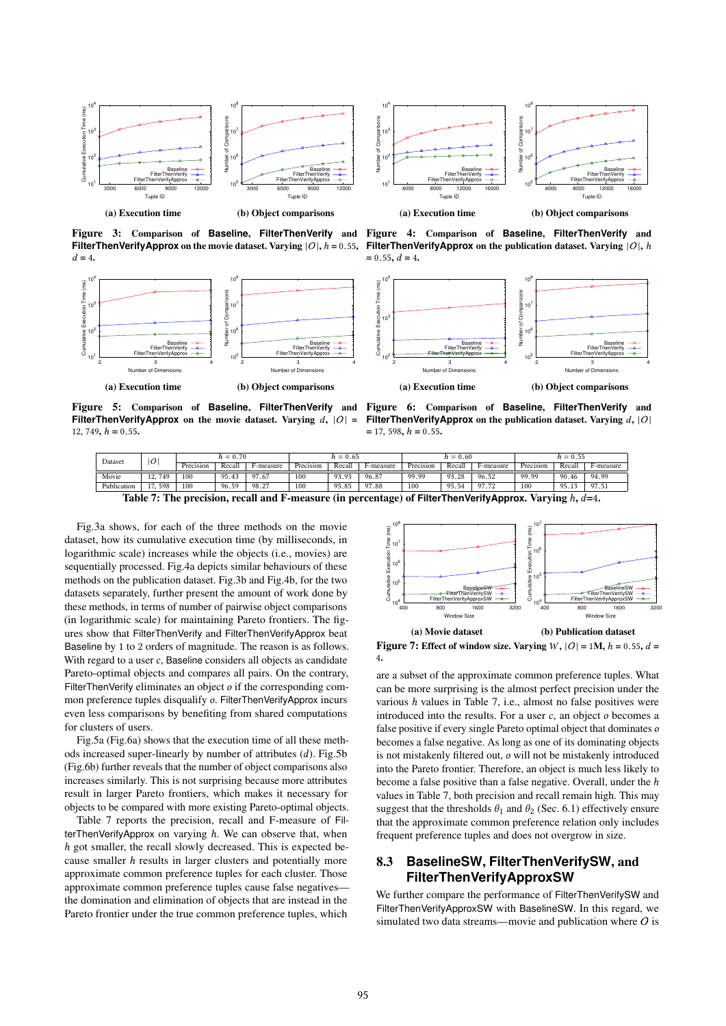



Figure 3: Comparison of **Baseline**, **FilterThenVerify** and **FilterThenVerifyApprox** on the movie dataset. Varying  $|O|$ ,  $h = 0.55$ ,  $d = 4$ .



Figure 5: Comparison of **Baseline**, **FilterThenVerify** and Figure 6: Comparison of **Baseline**, **FilterThenVerify** and **FilterThenVerifyApprox** on the movie dataset. Varying  $d$ ,  $|O| =$ 12, 749,  $h = 0.55$ .

Figure 4: Comparison of **Baseline**, **FilterThenVerify** and **FilterThenVerifyApprox** on the publication dataset. Varying  $|O|$ , h  $= 0.55$ ,  $d = 4$ .



**FilterThenVerifyApprox** on the publication dataset. Varying  $d$ ,  $|O|$  $= 17, 598, h = 0.55.$ 

| Dataset                                                                                                              | O          | $h = 0.70$ |        |           | $h = 0.65$ |        |           | $h = 0.60$ |        |           | $h = 0.55$ |        |           |
|----------------------------------------------------------------------------------------------------------------------|------------|------------|--------|-----------|------------|--------|-----------|------------|--------|-----------|------------|--------|-----------|
|                                                                                                                      |            | Precision  | Recall | F-measure | Precision  | Recall | F-measure | Precision  | Recall | F-measure | Precision  | Recall | F-measure |
| Movie                                                                                                                | 749<br>12. | 100        | 95.43  | 97.67     | 100        | 93.93  | 96.87     | 99.99      | 93.28  | 96.52     | 99.99      | 90.46  | 94.99     |
| Publication                                                                                                          | 598        | 100        | 96.59  | 98.27     | 100        | 95.85  | 97.88     | 100        | 95.54  | 97.72     | 100        | 95.1.  | 97.51     |
| Table 7: The precision recall and F measure (in perception) of $\mathsf{EiltorThen}$ (orify Approx Varying $h$ $d-4$ |            |            |        |           |            |        |           |            |        |           |            |        |           |

Table 7: The precision, recall and F-measure (in percentage) of **FilterThenVerifyApprox**. Varying h, d=4.

Fig.3a shows, for each of the three methods on the movie dataset, how its cumulative execution time (by milliseconds, in logarithmic scale) increases while the objects (i.e., movies) are sequentially processed. Fig.4a depicts similar behaviours of these methods on the publication dataset. Fig.3b and Fig.4b, for the two datasets separately, further present the amount of work done by these methods, in terms of number of pairwise object comparisons (in logarithmic scale) for maintaining Pareto frontiers. The figures show that FilterThenVerify and FilterThenVerifyApprox beat Baseline by 1 to 2 orders of magnitude. The reason is as follows. With regard to a user  $c$ , Baseline considers all objects as candidate Pareto-optimal objects and compares all pairs. On the contrary, FilterThenVerify eliminates an object  $o$  if the corresponding common preference tuples disqualify o. FilterThenVerifyApprox incurs even less comparisons by benefiting from shared computations for clusters of users.

Fig.5a (Fig.6a) shows that the execution time of all these methods increased super-linearly by number of attributes (d). Fig.5b (Fig.6b) further reveals that the number of object comparisons also increases similarly. This is not surprising because more attributes result in larger Pareto frontiers, which makes it necessary for objects to be compared with more existing Pareto-optimal objects.

Table 7 reports the precision, recall and F-measure of FilterThenVerifyApprox on varying  $h$ . We can observe that, when h got smaller, the recall slowly decreased. This is expected because smaller h results in larger clusters and potentially more approximate common preference tuples for each cluster. Those approximate common preference tuples cause false negatives the domination and elimination of objects that are instead in the Pareto frontier under the true common preference tuples, which



Figure 7: Effect of window size. Varying  $W$ ,  $|O| = 1$ M,  $h = 0.55$ ,  $d =$ 4.

are a subset of the approximate common preference tuples. What can be more surprising is the almost perfect precision under the various  $h$  values in Table 7, i.e., almost no false positives were introduced into the results. For a user  $c$ , an object  $o$  becomes a false positive if every single Pareto optimal object that dominates o becomes a false negative. As long as one of its dominating objects is not mistakenly filtered out, o will not be mistakenly introduced into the Pareto frontier. Therefore, an object is much less likely to become a false positive than a false negative. Overall, under the h values in Table 7, both precision and recall remain high. This may suggest that the thresholds  $\theta_1$  and  $\theta_2$  (Sec. 6.1) effectively ensure that the approximate common preference relation only includes frequent preference tuples and does not overgrow in size.

# 8.3 **BaselineSW**, **FilterThenVerifySW**, and **FilterThenVerifyApproxSW**

We further compare the performance of FilterThenVerifySW and FilterThenVerifyApproxSW with BaselineSW. In this regard, we simulated two data streams—movie and publication where  $O$  is